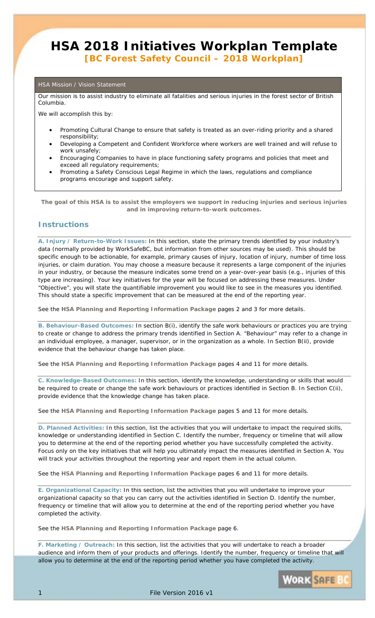# **HSA 2018 Initiatives Workplan Template**  *[BC Forest Safety Council – 2018 Workplan]*

#### HSA Mission / Vision Statement

Our mission is to assist industry to eliminate all fatalities and serious injuries in the forest sector of British Columbia.

We will accomplish this by:

- Promoting Cultural Change to ensure that safety is treated as an over-riding priority and a shared responsibility;
- Developing a Competent and Confident Workforce where workers are well trained and will refuse to work unsafely;
- Encouraging Companies to have in place functioning safety programs and policies that meet and exceed all regulatory requirements;
- Promoting a Safety Conscious Legal Regime in which the laws, regulations and compliance programs encourage and support safety.

*The goal of this HSA is to assist the employers we support in reducing injuries and serious injuries and in improving return-to-work outcomes.* 

### **Instructions**

**A. Injury / Return-to-Work Issues:** In this section, state the primary trends identified by your industry's data (normally provided by WorkSafeBC, but information from other sources may be used). This should be specific enough to be actionable, for example, primary causes of injury, location of injury, number of time loss injuries, or claim duration. You may choose a measure because it represents a large component of the injuries in your industry, or because the measure indicates some trend on a year-over-year basis (e.g., injuries of this type are increasing). Your key initiatives for the year will be focused on addressing these measures. Under "Objective", you will state the quantifiable improvement you would like to see in the measures you identified. This should state a specific improvement that can be measured at the end of the reporting year.

See the **HSA Planning and Reporting Information Package** pages 2 and 3 for more details.

**B. Behaviour-Based Outcomes:** In section B(i), identify the safe work behaviours or practices you are trying to create or change to address the primary trends identified in Section A. "Behaviour" may refer to a change in an individual employee, a manager, supervisor, or in the organization as a whole. In Section B(ii), provide evidence that the behaviour change has taken place.

See the **HSA Planning and Reporting Information Package** pages 4 and 11 for more details.

**C. Knowledge-Based Outcomes:** In this section, identify the knowledge, understanding or skills that would be required to create or change the safe work behaviours or practices identified in Section B. In Section C(ii), provide evidence that the knowledge change has taken place.

See the **HSA Planning and Reporting Information Package** pages 5 and 11 for more details.

**D. Planned Activities:** In this section, list the activities that you will undertake to impact the required skills, knowledge or understanding identified in Section C. Identify the number, frequency or timeline that will allow you to determine at the end of the reporting period whether you have successfully completed the activity. Focus only on the key initiatives that will help you ultimately impact the measures identified in Section A. You will track your activities throughout the reporting year and report them in the actual column.

See the **HSA Planning and Reporting Information Package** pages 6 and 11 for more details.

**E. Organizational Capacity:** In this section, list the activities that you will undertake to improve your organizational capacity so that you can carry out the activities identified in Section D. Identify the number, frequency or timeline that will allow you to determine at the end of the reporting period whether you have completed the activity.

See the **HSA Planning and Reporting Information Package** page 6.

**F. Marketing / Outreach:** In this section, list the activities that you will undertake to reach a broader audience and inform them of your products and offerings. Identify the number, frequency or timeline that will allow you to determine at the end of the reporting period whether you have completed the activity.

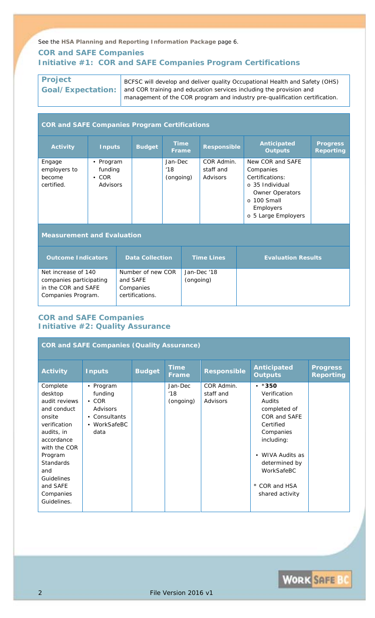See the **HSA Planning and Reporting Information Package** page 6.

# **COR and SAFE Companies Initiative #1: COR and SAFE Companies Program Certifications**

# **Project Goal/Expectation:**

*BCFSC will develop and deliver quality Occupational Health and Safety (OHS) and COR training and education services including the provision and management of the COR program and industry pre-qualification certification.* 

### **COR and SAFE Companies Program Certifications**

| <b>Activity</b>                                | <b>Inputs</b>                                      | <b>Budget</b> | <b>Time</b><br>Frame        | <b>Responsible</b>                         | <b>Anticipated</b><br><b>Outputs</b>                                                                                                                   | <b>Progress</b><br><b>Reporting</b> |
|------------------------------------------------|----------------------------------------------------|---------------|-----------------------------|--------------------------------------------|--------------------------------------------------------------------------------------------------------------------------------------------------------|-------------------------------------|
| Engage<br>employers to<br>become<br>certified. | Program<br>٠<br>funding<br>$\cdot$ COR<br>Advisors |               | Jan-Dec<br>'18<br>(ongoing) | COR Admin.<br>staff and<br><b>Advisors</b> | New COR and SAFE<br>Companies<br>Certifications:<br>o 35 Individual<br><b>Owner Operators</b><br>$\circ$ 100 Small<br>Employers<br>o 5 Large Employers |                                     |

# **Measurement and Evaluation**

| <b>Outcome Indicators</b>                                                                   | <b>Data Collection</b>                                        | <b>Time Lines</b>        | <b>Evaluation Results</b> |
|---------------------------------------------------------------------------------------------|---------------------------------------------------------------|--------------------------|---------------------------|
| Net increase of 140<br>companies participating<br>in the COR and SAFE<br>Companies Program. | Number of new COR<br>and SAFE<br>Companies<br>certifications. | Jan-Dec '18<br>(ongoing) |                           |

### **COR and SAFE Companies Initiative #2: Quality Assurance**

| <b>COR and SAFE Companies (Quality Assurance)</b>                                                                                                                                                                     |                                                                                        |               |                             |                                     |                                                                                                                                                                                                                    |                                     |  |  |  |  |
|-----------------------------------------------------------------------------------------------------------------------------------------------------------------------------------------------------------------------|----------------------------------------------------------------------------------------|---------------|-----------------------------|-------------------------------------|--------------------------------------------------------------------------------------------------------------------------------------------------------------------------------------------------------------------|-------------------------------------|--|--|--|--|
| <b>Activity</b>                                                                                                                                                                                                       | <b>Inputs</b>                                                                          | <b>Budget</b> | <b>Time</b><br>Frame        | <b>Responsible</b>                  | <b>Anticipated</b><br><b>Outputs</b>                                                                                                                                                                               | <b>Progress</b><br><b>Reporting</b> |  |  |  |  |
| Complete<br>desktop<br>audit reviews<br>and conduct<br>onsite<br>verification<br>audits, in<br>accordance<br>with the COR<br>Program<br><b>Standards</b><br>and<br>Guidelines<br>and SAFE<br>Companies<br>Guidelines. | • Program<br>funding<br>$\cdot$ COR<br>Advisors<br>• Consultants<br>WorkSafeBC<br>data |               | Jan-Dec<br>'18<br>(ongoing) | COR Admin.<br>staff and<br>Advisors | $•*350$<br>Verification<br>Audits<br>completed of<br>COR and SAFE<br>Certified<br>Companies<br>including:<br><b>WIVA Audits as</b><br>$\bullet$<br>determined by<br>WorkSafeBC<br>* COR and HSA<br>shared activity |                                     |  |  |  |  |

**WORK SAFE BC**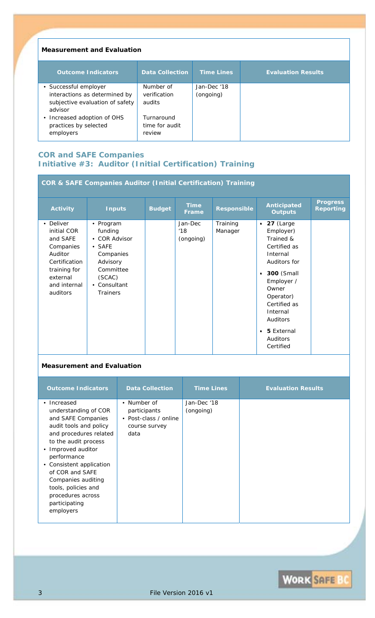### **Measurement and Evaluation**

| <b>Outcome Indicators</b>                                                   | <b>Data Collection</b>                 | <b>Time Lines</b> | <b>Evaluation Results</b> |
|-----------------------------------------------------------------------------|----------------------------------------|-------------------|---------------------------|
| • Successful employer                                                       | Number of                              | Jan-Dec '18       |                           |
| interactions as determined by<br>subjective evaluation of safety<br>advisor | verification<br>audits                 | (ongoing)         |                           |
| • Increased adoption of OHS<br>practices by selected<br>employers           | Turnaround<br>time for audit<br>review |                   |                           |

# **COR and SAFE Companies Initiative #3: Auditor (Initial Certification) Training**

| <b>COR &amp; SAFE Companies Auditor (Initial Certification) Training</b>                                                              |                                                                                                                                            |               |                             |                     |                                                                                                                                                                                                                                                                    |                                     |  |  |  |  |
|---------------------------------------------------------------------------------------------------------------------------------------|--------------------------------------------------------------------------------------------------------------------------------------------|---------------|-----------------------------|---------------------|--------------------------------------------------------------------------------------------------------------------------------------------------------------------------------------------------------------------------------------------------------------------|-------------------------------------|--|--|--|--|
| <b>Activity</b>                                                                                                                       | <b>Inputs</b>                                                                                                                              | <b>Budget</b> | <b>Time</b><br>Frame        | <b>Responsible</b>  | <b>Anticipated</b><br><b>Outputs</b>                                                                                                                                                                                                                               | <b>Progress</b><br><b>Reporting</b> |  |  |  |  |
| • Deliver<br>initial COR<br>and SAFE<br>Companies<br>Auditor<br>Certification<br>training for<br>external<br>and internal<br>auditors | • Program<br>funding<br>• COR Advisor<br>$\bullet$ SAFE<br>Companies<br>Advisory<br>Committee<br>(SCAC)<br>• Consultant<br><b>Trainers</b> |               | Jan-Dec<br>'18<br>(ongoing) | Training<br>Manager | $\bullet$ 27 (Large<br>Employer)<br>Trained &<br>Certified as<br>Internal<br>Auditors for<br><b>300</b> (Small<br>$\bullet$<br>Employer /<br>Owner<br>Operator)<br>Certified as<br>Internal<br>Auditors<br><b>5</b> External<br>$\bullet$<br>Auditors<br>Certified |                                     |  |  |  |  |

# **Measurement and Evaluation**

| <b>Outcome Indicators</b>                                                                                                                                                                                                                                                                                                 | <b>Data Collection</b>                                                        | <b>Time Lines</b>        | <b>Evaluation Results</b> |
|---------------------------------------------------------------------------------------------------------------------------------------------------------------------------------------------------------------------------------------------------------------------------------------------------------------------------|-------------------------------------------------------------------------------|--------------------------|---------------------------|
| • Increased<br>understanding of COR<br>and SAFE Companies<br>audit tools and policy<br>and procedures related<br>to the audit process<br>• Improved auditor<br>performance<br>• Consistent application<br>of COR and SAFE<br>Companies auditing<br>tools, policies and<br>procedures across<br>participating<br>employers | • Number of<br>participants<br>• Post-class / online<br>course survey<br>data | Jan-Dec '18<br>(ongoing) |                           |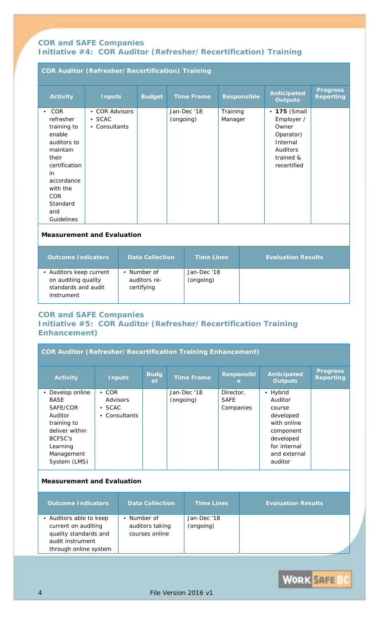# **COR and SAFE Companies Initiative #4: COR Auditor (Refresher/Recertification) Training**

| <b>COR Auditor (Refresher/Recertification) Training</b>                                                                                                                             |                                                   |               |                          |                     |                                                                                                             |                                     |  |  |  |  |
|-------------------------------------------------------------------------------------------------------------------------------------------------------------------------------------|---------------------------------------------------|---------------|--------------------------|---------------------|-------------------------------------------------------------------------------------------------------------|-------------------------------------|--|--|--|--|
| <b>Activity</b>                                                                                                                                                                     | <b>Inputs</b>                                     | <b>Budget</b> | <b>Time Frame</b>        | <b>Responsible</b>  | Anticipated<br><b>Outputs</b>                                                                               | <b>Progress</b><br><b>Reporting</b> |  |  |  |  |
| COR<br>$\bullet$<br>refresher<br>training to<br>enable<br>auditors to<br>maintain<br>their<br>certification<br>in<br>accordance<br>with the<br>COR<br>Standard<br>and<br>Guidelines | • COR Advisors<br>$\bullet$ SCAC<br>• Consultants |               | Jan-Dec '18<br>(ongoing) | Training<br>Manager | • 175 (Small<br>Employer /<br>Owner<br>Operator)<br>Internal<br><b>Auditors</b><br>trained &<br>recertified |                                     |  |  |  |  |
|                                                                                                                                                                                     |                                                   |               |                          |                     |                                                                                                             |                                     |  |  |  |  |

### **Measurement and Evaluation**

| <b>Outcome Indicators</b>                                                           | <b>Data Collection</b>                  | <b>Time Lines</b>        | <b>Evaluation Results</b> |
|-------------------------------------------------------------------------------------|-----------------------------------------|--------------------------|---------------------------|
| • Auditors keep current<br>on auditing quality<br>standards and audit<br>instrument | Number of<br>auditors re-<br>certifying | Jan-Dec '18<br>(ongoing) |                           |

## **COR and SAFE Companies Initiative #5: COR Auditor (Refresher/Recertification Training Enhancement)**

| <b>COR Auditor (Refresher/Recertification Training Enhancement)</b> |                |                    |                   |                        |                                      |                                     |  |  |  |  |
|---------------------------------------------------------------------|----------------|--------------------|-------------------|------------------------|--------------------------------------|-------------------------------------|--|--|--|--|
| <b>Activity</b>                                                     | <b>Inputs</b>  | <b>Budg</b><br>et. | <b>Time Frame</b> | <b>Responsibl</b><br>e | <b>Anticipated</b><br><b>Outputs</b> | <b>Progress</b><br><b>Reporting</b> |  |  |  |  |
| Develop online                                                      | $\cdot$ COR    |                    | Jan-Dec '18       | Director,              | • Hybrid                             |                                     |  |  |  |  |
| <i>BASE</i>                                                         | Advisors       |                    | (ongoing)         | SAFE                   | Auditor                              |                                     |  |  |  |  |
| <i>SAFE/COR</i>                                                     | $\bullet$ SCAC |                    |                   | Companies              | course                               |                                     |  |  |  |  |
| Auditor                                                             | Consultants    |                    |                   |                        | developed                            |                                     |  |  |  |  |
| training to                                                         |                |                    |                   |                        | with online                          |                                     |  |  |  |  |
| deliver within                                                      |                |                    |                   |                        | component                            |                                     |  |  |  |  |
| BCFSC's                                                             |                |                    |                   |                        | developed                            |                                     |  |  |  |  |
| Learning                                                            |                |                    |                   |                        | for internal                         |                                     |  |  |  |  |
| Management                                                          |                |                    |                   |                        | and external                         |                                     |  |  |  |  |
| System (LMS)                                                        |                |                    |                   |                        | auditor                              |                                     |  |  |  |  |

# **Measurement and Evaluation**

| <b>Outcome Indicators</b>                                                                                            | <b>Data Collection</b>                           | <b>Time Lines</b>        | <b>Evaluation Results</b> |
|----------------------------------------------------------------------------------------------------------------------|--------------------------------------------------|--------------------------|---------------------------|
| • Auditors able to keep<br>current on auditing<br>quality standards and<br>audit instrument<br>through online system | • Number of<br>auditors taking<br>courses online | Jan-Dec '18<br>(ongoing) |                           |

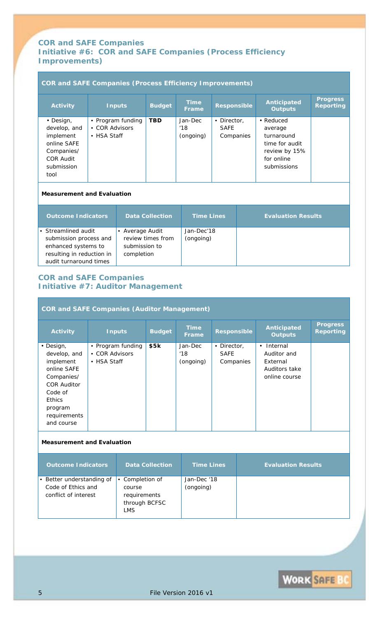## **COR and SAFE Companies Initiative #6: COR and SAFE Companies (Process Efficiency Improvements)**

| <b>COR and SAFE Companies (Process Efficiency Improvements)</b>                                               |                               |                                             |                   |                             |                                  |                           |                                                                                                    |                                     |  |  |
|---------------------------------------------------------------------------------------------------------------|-------------------------------|---------------------------------------------|-------------------|-----------------------------|----------------------------------|---------------------------|----------------------------------------------------------------------------------------------------|-------------------------------------|--|--|
| <b>Activity</b>                                                                                               |                               | <b>Inputs</b>                               | <b>Budget</b>     | <b>Time</b><br><b>Frame</b> | <b>Responsible</b>               |                           | <b>Anticipated</b><br><b>Outputs</b>                                                               | <b>Progress</b><br><b>Reporting</b> |  |  |
| • Design,<br>develop, and<br>implement<br>online SAFE<br>Companies/<br><b>COR Audit</b><br>submission<br>tool | • COR Advisors<br>• HSA Staff | • Program funding                           | <b>TBD</b>        | Jan-Dec<br>'18<br>(ongoing) | • Director,<br>SAFE<br>Companies |                           | • Reduced<br>average<br>turnaround<br>time for audit<br>review by 15%<br>for online<br>submissions |                                     |  |  |
| <b>Measurement and Evaluation</b>                                                                             |                               |                                             |                   |                             |                                  |                           |                                                                                                    |                                     |  |  |
| <b>Outcome Indicators</b>                                                                                     |                               | <b>Data Collection</b><br><b>Time Lines</b> |                   |                             |                                  | <b>Evaluation Results</b> |                                                                                                    |                                     |  |  |
| Streamlined audit<br>submission process and                                                                   |                               | • Average Audit                             | review times from | Jan-Dec'18<br>(ongoing)     |                                  |                           |                                                                                                    |                                     |  |  |

# **COR and SAFE Companies Initiative #7: Auditor Management**

*submission to completion* 

*enhanced systems to resulting in reduction in audit turnaround times*

#### **COR and SAFE Companies (Auditor Management) Activity** Inputs Budget Time **Frame Responsible Anticipated Outputs Progress Reporting** *• Design, develop, and implement online SAFE Companies/ COR Auditor Code of Ethics program requirements and course*  • *Program funding*  • *COR Advisors*  • *HSA Staff \$5k Jan-Dec '18 (ongoing)*  • *Director, SAFE Companies • Internal Auditor and External Auditors take online course* **Measurement and Evaluation**

#### **Outcome Indicators | Data Collection | Time Lines | Evaluation Results** • *Better understanding of*  • *Completion of Code of Ethics and conflict of interest course requirements through BCFSC LMS Jan-Dec '18 (ongoing)*

**WORK SAFE BC**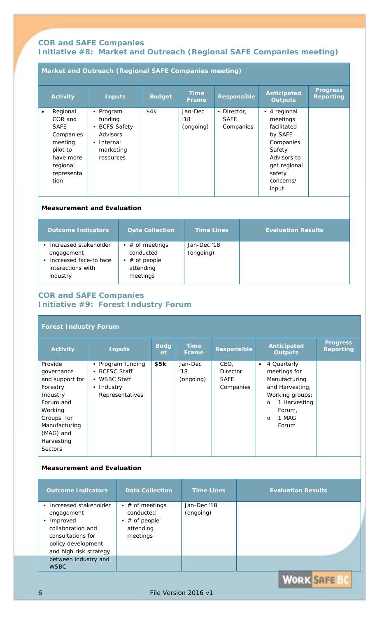# **COR and SAFE Companies Initiative #8: Market and Outreach (Regional SAFE Companies meeting)**

# **Market and Outreach (Regional SAFE Companies meeting)**

| <b>Activity</b>                                                                     | <b>Inputs</b>                                                              | <b>Budget</b> | <b>Time</b><br><b>Frame</b> | <b>Responsible</b>                                 | <b>Anticipated</b><br><b>Outputs</b>                                      | <b>Progress</b><br><b>Reporting</b> |
|-------------------------------------------------------------------------------------|----------------------------------------------------------------------------|---------------|-----------------------------|----------------------------------------------------|---------------------------------------------------------------------------|-------------------------------------|
| Regional<br>$\bullet$<br>COR and<br><b>SAFE</b><br>Companies<br>meeting<br>pilot to | • Program<br>funding<br>• BCFS Safety<br>Advisors<br>Internal<br>$\bullet$ | \$4k          | Jan-Dec<br>'18<br>(ongoing) | Director,<br>$\bullet$<br><b>SAFE</b><br>Companies | • 4 regional<br>meetings<br>facilitated<br>by SAFE<br>Companies<br>Safety |                                     |
| have more<br>regional<br>representa<br>tion                                         | marketing<br>resources                                                     |               |                             |                                                    | Advisors to<br>get regional<br>safety<br>concerns/<br>input               |                                     |

### **Measurement and Evaluation**

| <b>Outcome Indicators</b>                                                                          | <b>Data Collection</b>                                                       | <b>Time Lines</b>        | <b>Evaluation Results</b> |
|----------------------------------------------------------------------------------------------------|------------------------------------------------------------------------------|--------------------------|---------------------------|
| • Increased stakeholder<br>engagement<br>• Increased face-to face<br>interactions with<br>industry | • $\#$ of meetings<br>conducted<br>• $\#$ of people<br>attending<br>meetings | Jan-Dec '18<br>(ongoing) |                           |

# **COR and SAFE Companies Initiative #9: Forest Industry Forum**

### **Forest Industry Forum**

| <b>Activity</b>                                                                                                                                                      | <b>Inputs</b>                                                                     | <b>Budg</b><br>et | <b>Time</b><br><b>Frame</b>        | <b>Responsible</b>                           | Anticipated<br><b>Outputs</b>                                                                                                                                     | <b>Progress</b><br><b>Reporting</b> |
|----------------------------------------------------------------------------------------------------------------------------------------------------------------------|-----------------------------------------------------------------------------------|-------------------|------------------------------------|----------------------------------------------|-------------------------------------------------------------------------------------------------------------------------------------------------------------------|-------------------------------------|
| Provide<br>governance<br>and support for<br>Forestry<br>Industry<br>Forum and<br>Working<br>Groups for<br>Manufacturing<br>(MAG) and<br>Harvesting<br><b>Sectors</b> | • Program funding<br>• BCFSC Staff<br>WSBC Staff<br>• Industry<br>Representatives | \$5k              | <i>Jan-Dec</i><br>18'<br>(ongoing) | CEO.<br>Director<br><i>SAFE</i><br>Companies | 4 Quarterly<br>$\bullet$<br>meetings for<br>Manufacturing<br>and Harvesting,<br>Working groups:<br>1 Harvesting<br>$\circ$<br>Forum,<br>1 MAG<br>$\circ$<br>Forum |                                     |

### **Measurement and Evaluation**

| <b>Outcome Indicators</b>                                                                                                                     | <b>Data Collection</b>                                                    | <b>Time Lines</b>        | <b>Evaluation Results</b> |
|-----------------------------------------------------------------------------------------------------------------------------------------------|---------------------------------------------------------------------------|--------------------------|---------------------------|
| • Increased stakeholder<br>engagement<br>• Improved<br>collaboration and<br>consultations for<br>policy development<br>and high risk strategy | • $\#$ of meetings<br>conducted<br>$#$ of people<br>attending<br>meetings | Jan-Dec '18<br>(ongoing) |                           |
| between industry and<br><b>WSBC</b>                                                                                                           |                                                                           |                          |                           |

**WORK SAFE BC**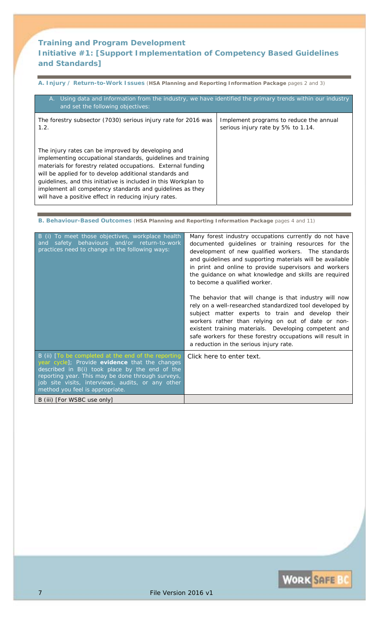# **Training and Program Development Initiative #1:** *[Support Implementation of Competency Based Guidelines and Standards]*

**A. Injury / Return-to-Work Issues** (**HSA Planning and Reporting Information Package** pages 2 and 3)

| A. Using data and information from the industry, we have identified the primary trends within our industry<br>and set the following objectives:                                                                                                                                                                                                                                                                                        |                                                                               |  |  |  |
|----------------------------------------------------------------------------------------------------------------------------------------------------------------------------------------------------------------------------------------------------------------------------------------------------------------------------------------------------------------------------------------------------------------------------------------|-------------------------------------------------------------------------------|--|--|--|
| The forestry subsector (7030) serious injury rate for 2016 was<br>1.2.                                                                                                                                                                                                                                                                                                                                                                 | Implement programs to reduce the annual<br>serious injury rate by 5% to 1.14. |  |  |  |
| The injury rates can be improved by developing and<br>implementing occupational standards, guidelines and training<br>materials for forestry related occupations. External funding<br>will be applied for to develop additional standards and<br>guidelines, and this initiative is included in this Workplan to<br>implement all competency standards and guidelines as they<br>will have a positive effect in reducing injury rates. |                                                                               |  |  |  |

**B. Behaviour-Based Outcomes** (**HSA Planning and Reporting Information Package** pages 4 and 11)

| B (i) To meet those objectives, workplace health<br>safety behaviours and/or return-to-work<br>and<br>practices need to change in the following ways:                                                                                                                                                | Many forest industry occupations currently do not have<br>documented guidelines or training resources for the<br>development of new qualified workers. The standards<br>and guidelines and supporting materials will be available<br>in print and online to provide supervisors and workers<br>the guidance on what knowledge and skills are required<br>to become a qualified worker.<br>The behavior that will change is that industry will now<br>rely on a well-researched standardized tool developed by<br>subject matter experts to train and develop their<br>workers rather than relying on out of date or non-<br>existent training materials. Developing competent and<br>safe workers for these forestry occupations will result in<br>a reduction in the serious injury rate. |
|------------------------------------------------------------------------------------------------------------------------------------------------------------------------------------------------------------------------------------------------------------------------------------------------------|--------------------------------------------------------------------------------------------------------------------------------------------------------------------------------------------------------------------------------------------------------------------------------------------------------------------------------------------------------------------------------------------------------------------------------------------------------------------------------------------------------------------------------------------------------------------------------------------------------------------------------------------------------------------------------------------------------------------------------------------------------------------------------------------|
| B (ii) [To be completed at the end of the reporting<br>year cycle]; Provide evidence that the changes<br>described in B(i) took place by the end of the<br>reporting year. This may be done through surveys,<br>job site visits, interviews, audits, or any other<br>method you feel is appropriate. | Click here to enter text.                                                                                                                                                                                                                                                                                                                                                                                                                                                                                                                                                                                                                                                                                                                                                                  |
| B (iii) [For WSBC use only]                                                                                                                                                                                                                                                                          |                                                                                                                                                                                                                                                                                                                                                                                                                                                                                                                                                                                                                                                                                                                                                                                            |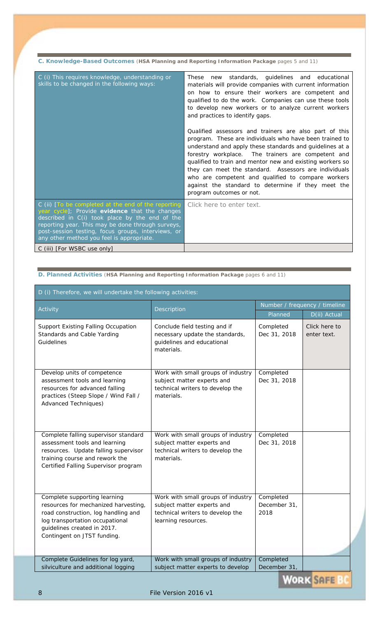**C. Knowledge-Based Outcomes** (**HSA Planning and Reporting Information Package** pages 5 and 11)

| C (i) This requires knowledge, understanding or<br>skills to be changed in the following ways:                                                                                                                                                                                                                  | These new standards, guidelines and educational<br>materials will provide companies with current information<br>on how to ensure their workers are competent and<br>qualified to do the work. Companies can use these tools<br>to develop new workers or to analyze current workers<br>and practices to identify gaps.                                                                                                                                                                            |
|-----------------------------------------------------------------------------------------------------------------------------------------------------------------------------------------------------------------------------------------------------------------------------------------------------------------|---------------------------------------------------------------------------------------------------------------------------------------------------------------------------------------------------------------------------------------------------------------------------------------------------------------------------------------------------------------------------------------------------------------------------------------------------------------------------------------------------|
|                                                                                                                                                                                                                                                                                                                 | Qualified assessors and trainers are also part of this<br>program. These are individuals who have been trained to<br>understand and apply these standards and guidelines at a<br>forestry workplace. The trainers are competent and<br>qualified to train and mentor new and existing workers so<br>they can meet the standard. Assessors are individuals<br>who are competent and qualified to compare workers<br>against the standard to determine if they meet the<br>program outcomes or not. |
| C (ii) [To be completed at the end of the reporting<br>year cycle]; Provide evidence that the changes<br>described in C(i) took place by the end of the<br>reporting year. This may be done through surveys,<br>post-session testing, focus groups, interviews, or<br>any other method you feel is appropriate. | Click here to enter text.                                                                                                                                                                                                                                                                                                                                                                                                                                                                         |
| C (iii) [For WSBC use only]                                                                                                                                                                                                                                                                                     |                                                                                                                                                                                                                                                                                                                                                                                                                                                                                                   |

**D. Planned Activities** (**HSA Planning and Reporting Information Package** pages 6 and 11)

| D (i) Therefore, we will undertake the following activities:                                                                                                                                                 |                                                                                                                             |                                      |                                              |  |  |
|--------------------------------------------------------------------------------------------------------------------------------------------------------------------------------------------------------------|-----------------------------------------------------------------------------------------------------------------------------|--------------------------------------|----------------------------------------------|--|--|
| Activity                                                                                                                                                                                                     | Description                                                                                                                 | Number / frequency / timeline        |                                              |  |  |
| Support Existing Falling Occupation<br>Standards and Cable Yarding<br>Guidelines                                                                                                                             | Conclude field testing and if<br>necessary update the standards,<br>guidelines and educational<br>materials.                | Planned<br>Completed<br>Dec 31, 2018 | D(ii) Actual<br>Click here to<br>enter text. |  |  |
| Develop units of competence<br>assessment tools and learning<br>resources for advanced falling<br>practices (Steep Slope / Wind Fall /<br><b>Advanced Techniques)</b>                                        | Work with small groups of industry<br>subject matter experts and<br>technical writers to develop the<br>materials.          | Completed<br>Dec 31, 2018            |                                              |  |  |
| Complete falling supervisor standard<br>assessment tools and learning<br>resources. Update falling supervisor<br>training course and rework the<br>Certified Falling Supervisor program                      | Work with small groups of industry<br>subject matter experts and<br>technical writers to develop the<br>materials.          | Completed<br>Dec 31, 2018            |                                              |  |  |
| Complete supporting learning<br>resources for mechanized harvesting,<br>road construction, log handling and<br>log transportation occupational<br>guidelines created in 2017.<br>Contingent on JTST funding. | Work with small groups of industry<br>subject matter experts and<br>technical writers to develop the<br>learning resources. | Completed<br>December 31,<br>2018    |                                              |  |  |
| Complete Guidelines for log yard,<br>silviculture and additional logging                                                                                                                                     | Work with small groups of industry<br>subject matter experts to develop                                                     | Completed<br>December 31,            |                                              |  |  |

**WORK SAFE**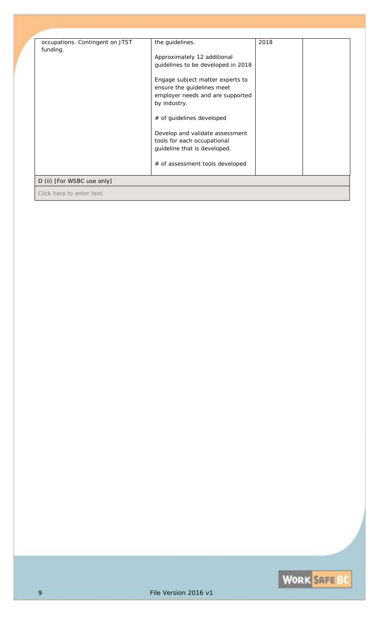| occupations. Contingent on JTST | the guidelines.                    | 2018 |  |
|---------------------------------|------------------------------------|------|--|
| funding.                        | Approximately 12 additional        |      |  |
|                                 | guidelines to be developed in 2018 |      |  |
|                                 |                                    |      |  |
|                                 | Engage subject matter experts to   |      |  |
|                                 | ensure the guidelines meet         |      |  |
|                                 | employer needs and are supported   |      |  |
|                                 | by industry.                       |      |  |
|                                 | # of guidelines developed          |      |  |
|                                 | Develop and validate assessment    |      |  |
|                                 | tools for each occupational        |      |  |
|                                 | guideline that is developed.       |      |  |
|                                 |                                    |      |  |
|                                 | # of assessment tools developed    |      |  |
| D (ii) [For WSBC use only]      |                                    |      |  |
| Click here to enter text.       |                                    |      |  |

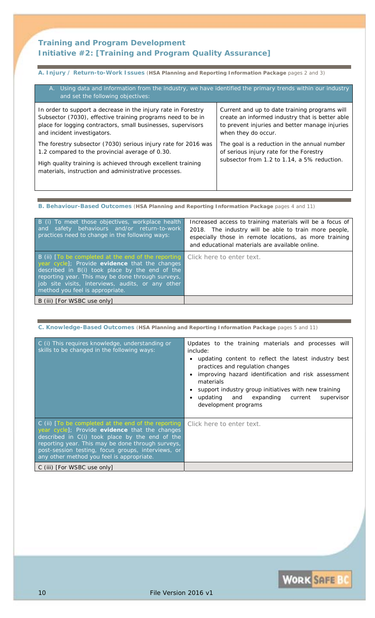# **Training and Program Development Initiative #2:** *[Training and Program Quality Assurance]*

# **A. Injury / Return-to-Work Issues** (**HSA Planning and Reporting Information Package** pages 2 and 3)

| A. Using data and information from the industry, we have identified the primary trends within our industry<br>and set the following objectives: |                                                 |  |  |
|-------------------------------------------------------------------------------------------------------------------------------------------------|-------------------------------------------------|--|--|
| In order to support a decrease in the injury rate in Forestry                                                                                   | Current and up to date training programs will   |  |  |
| Subsector (7030), effective training programs need to be in                                                                                     | create an informed industry that is better able |  |  |
| place for logging contractors, small businesses, supervisors                                                                                    | to prevent injuries and better manage injuries  |  |  |
| and incident investigators.                                                                                                                     | when they do occur.                             |  |  |
| The forestry subsector (7030) serious injury rate for 2016 was                                                                                  | The goal is a reduction in the annual number    |  |  |
| 1.2 compared to the provincial average of 0.30.                                                                                                 | of serious injury rate for the Forestry         |  |  |
| High quality training is achieved through excellent training<br>materials, instruction and administrative processes.                            | subsector from 1.2 to 1.14, a 5% reduction.     |  |  |

#### **B. Behaviour-Based Outcomes** (**HSA Planning and Reporting Information Package** pages 4 and 11)

| B (i) To meet those objectives, workplace health<br>and safety behaviours and/or return-to-work<br>practices need to change in the following ways:                                                                                                                                                                             | Increased access to training materials will be a focus of<br>2018. The industry will be able to train more people,<br>especially those in remote locations, as more training<br>and educational materials are available online. |
|--------------------------------------------------------------------------------------------------------------------------------------------------------------------------------------------------------------------------------------------------------------------------------------------------------------------------------|---------------------------------------------------------------------------------------------------------------------------------------------------------------------------------------------------------------------------------|
| B (ii) [To be completed at the end of the reporting Click here to enter text.<br>year cycle]; Provide evidence that the changes<br>described in B(i) took place by the end of the<br>reporting year. This may be done through surveys,<br>job site visits, interviews, audits, or any other<br>method you feel is appropriate. |                                                                                                                                                                                                                                 |
| B (iii) [ <i>For WSBC use only</i> ]                                                                                                                                                                                                                                                                                           |                                                                                                                                                                                                                                 |

#### **C. Knowledge-Based Outcomes** (**HSA Planning and Reporting Information Package** pages 5 and 11)

| C (i) This requires knowledge, understanding or<br>skills to be changed in the following ways:                                                                                                                                                                                                                  | Updates to the training materials and processes will<br><i>include:</i><br>updating content to reflect the latest industry best<br>practices and regulation changes<br>improving hazard identification and risk assessment<br>materials<br>support industry group initiatives with new training<br>updating and expanding current<br>supervisor<br>development programs |
|-----------------------------------------------------------------------------------------------------------------------------------------------------------------------------------------------------------------------------------------------------------------------------------------------------------------|-------------------------------------------------------------------------------------------------------------------------------------------------------------------------------------------------------------------------------------------------------------------------------------------------------------------------------------------------------------------------|
| C (ii) [To be completed at the end of the reporting<br>year cycle]; Provide evidence that the changes<br>described in C(i) took place by the end of the<br>reporting year. This may be done through surveys,<br>post-session testing, focus groups, interviews, or<br>any other method you feel is appropriate. | Click here to enter text.                                                                                                                                                                                                                                                                                                                                               |
| C (iii) [For WSBC use only]                                                                                                                                                                                                                                                                                     |                                                                                                                                                                                                                                                                                                                                                                         |

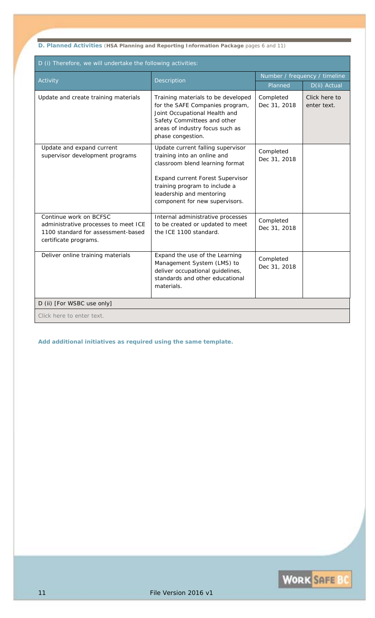**D. Planned Activities** (**HSA Planning and Reporting Information Package** pages 6 and 11)

| D (i) Therefore, we will undertake the following activities:                                                                  |                                                                                                                                                                                                                                               |                               |                              |  |  |
|-------------------------------------------------------------------------------------------------------------------------------|-----------------------------------------------------------------------------------------------------------------------------------------------------------------------------------------------------------------------------------------------|-------------------------------|------------------------------|--|--|
| Activity                                                                                                                      | Description                                                                                                                                                                                                                                   | Number / frequency / timeline |                              |  |  |
|                                                                                                                               |                                                                                                                                                                                                                                               | Planned                       | D(ii) Actual                 |  |  |
| Update and create training materials                                                                                          | Training materials to be developed<br>for the SAFE Companies program,<br>Joint Occupational Health and<br>Safety Committees and other<br>areas of industry focus such as<br>phase congestion.                                                 | Completed<br>Dec 31, 2018     | Click here to<br>enter text. |  |  |
| Update and expand current<br>supervisor development programs                                                                  | Update current falling supervisor<br>training into an online and<br>classroom blend learning format<br><b>Expand current Forest Supervisor</b><br>training program to include a<br>leadership and mentoring<br>component for new supervisors. | Completed<br>Dec 31, 2018     |                              |  |  |
| Continue work on BCFSC<br>administrative processes to meet ICE<br>1100 standard for assessment-based<br>certificate programs. | Internal administrative processes<br>to be created or updated to meet<br>the ICE 1100 standard.                                                                                                                                               | Completed<br>Dec 31, 2018     |                              |  |  |
| Deliver online training materials                                                                                             | Expand the use of the Learning<br>Management System (LMS) to<br>deliver occupational guidelines,<br>standards and other educational<br>materials.                                                                                             | Completed<br>Dec 31, 2018     |                              |  |  |
| D (ii) [For WSBC use only]                                                                                                    |                                                                                                                                                                                                                                               |                               |                              |  |  |
| Click here to enter text.                                                                                                     |                                                                                                                                                                                                                                               |                               |                              |  |  |

*Add additional initiatives as required using the same template.*

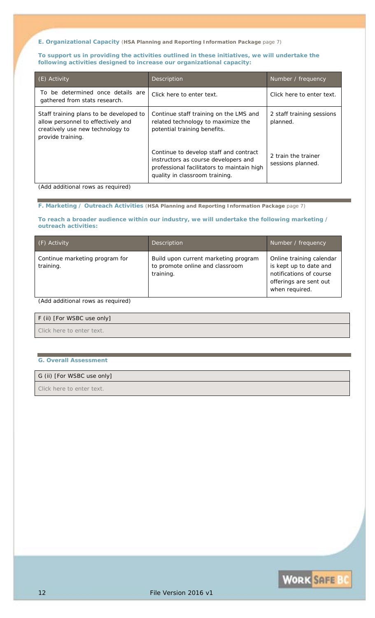**E. Organizational Capacity** (**HSA Planning and Reporting Information Package** page 7)

**To support us in providing the activities outlined in these initiatives, we will undertake the following activities designed to increase our organizational capacity:** 

| (E) Activity                                                                                                                           | Description                                                                                                                                                    | Number / frequency                       |
|----------------------------------------------------------------------------------------------------------------------------------------|----------------------------------------------------------------------------------------------------------------------------------------------------------------|------------------------------------------|
| To be determined once details are<br>gathered from stats research.                                                                     | Click here to enter text.                                                                                                                                      | Click here to enter text.                |
| Staff training plans to be developed to<br>allow personnel to effectively and<br>creatively use new technology to<br>provide training. | Continue staff training on the LMS and<br>related technology to maximize the<br>potential training benefits.                                                   | 2 staff training sessions<br>planned.    |
|                                                                                                                                        | Continue to develop staff and contract<br>instructors as course developers and<br>professional facilitators to maintain high<br>quality in classroom training. | 2 train the trainer<br>sessions planned. |

*(Add additional rows as required)* 

**F. Marketing / Outreach Activities** (**HSA Planning and Reporting Information Package** page 7)

**To reach a broader audience within our industry, we will undertake the following marketing / outreach activities:** 

| (F) Activity                                | Description                                                                          | Number / frequency                                                                                                        |
|---------------------------------------------|--------------------------------------------------------------------------------------|---------------------------------------------------------------------------------------------------------------------------|
| Continue marketing program for<br>training. | Build upon current marketing program<br>to promote online and classroom<br>training. | Online training calendar<br>is kept up to date and<br>notifications of course<br>offerings are sent out<br>when required. |

### *(Add additional rows as required)*

### F (ii) [For WSBC use only]

*Click here to enter text.*

#### **G. Overall Assessment**

### G (ii) [For WSBC use only]

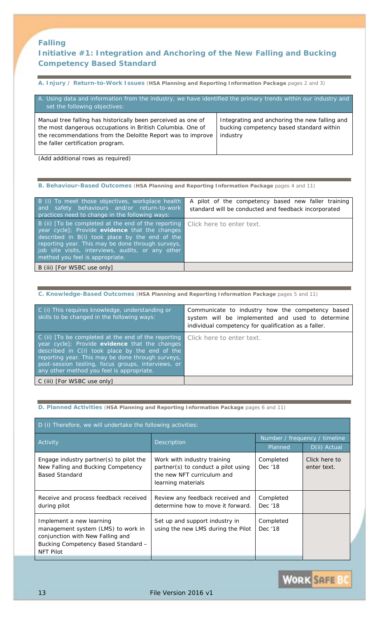# **Falling**

# **Initiative #1:** *Integration and Anchoring of the New Falling and Bucking Competency Based Standard*

**A. Injury / Return-to-Work Issues** (**HSA Planning and Reporting Information Package** pages 2 and 3)

| A. Using data and information from the industry, we have identified the primary trends within our industry and<br>set the following objectives:                                                                                 |                                                                                                       |
|---------------------------------------------------------------------------------------------------------------------------------------------------------------------------------------------------------------------------------|-------------------------------------------------------------------------------------------------------|
| Manual tree falling has historically been perceived as one of<br>the most dangerous occupations in British Columbia. One of<br>the recommendations from the Deloitte Report was to improve<br>the faller certification program. | Integrating and anchoring the new falling and<br>bucking competency based standard within<br>industry |

*(Add additional rows as required)* 

**B. Behaviour-Based Outcomes** (**HSA Planning and Reporting Information Package** pages 4 and 11)

| B (i) To meet those objectives, workplace health<br>and safety behaviours and/or return-to-work<br>practices need to change in the following ways:                                                                                                                                                     | A pilot of the competency based new faller training<br>standard will be conducted and feedback incorporated |
|--------------------------------------------------------------------------------------------------------------------------------------------------------------------------------------------------------------------------------------------------------------------------------------------------------|-------------------------------------------------------------------------------------------------------------|
| B (ii) [To be completed at the end of the reporting  <br>year cycle]; Provide evidence that the changes<br>described in B(i) took place by the end of the<br>reporting year. This may be done through surveys,<br>job site visits, interviews, audits, or any other<br>method you feel is appropriate. | Click here to enter text.                                                                                   |
| B (iii) [ <i>For WSBC use only</i> ]                                                                                                                                                                                                                                                                   |                                                                                                             |

**C. Knowledge-Based Outcomes** (**HSA Planning and Reporting Information Package** pages 5 and 11)

| C (i) This requires knowledge, understanding or<br>skills to be changed in the following ways:                                                                                                                                                                                                                  | Communicate to industry how the competency based<br>system will be implemented and used to determine<br>individual competency for qualification as a faller. |
|-----------------------------------------------------------------------------------------------------------------------------------------------------------------------------------------------------------------------------------------------------------------------------------------------------------------|--------------------------------------------------------------------------------------------------------------------------------------------------------------|
| C (ii) [To be completed at the end of the reporting<br>year cycle]; Provide evidence that the changes<br>described in C(i) took place by the end of the<br>reporting year. This may be done through surveys,<br>post-session testing, focus groups, interviews, or<br>any other method you feel is appropriate. | Click here to enter text.                                                                                                                                    |
| C (iii) [ <i>For WSBC use only</i> ]                                                                                                                                                                                                                                                                            |                                                                                                                                                              |

**D. Planned Activities** (**HSA Planning and Reporting Information Package** pages 6 and 11)

| D (i) Therefore, we will undertake the following activities:                                                                                                         |                                                                                                                        |                               |                              |
|----------------------------------------------------------------------------------------------------------------------------------------------------------------------|------------------------------------------------------------------------------------------------------------------------|-------------------------------|------------------------------|
| Activity                                                                                                                                                             | <b>Description</b>                                                                                                     | Number / frequency / timeline |                              |
|                                                                                                                                                                      |                                                                                                                        | Planned                       | D(ii) Actual                 |
| Engage industry partner(s) to pilot the<br>New Falling and Bucking Competency<br><b>Based Standard</b>                                                               | Work with industry training<br>partner(s) to conduct a pilot using<br>the new NFT curriculum and<br>learning materials | Completed<br>Dec '18          | Click here to<br>enter text. |
| Receive and process feedback received<br>during pilot                                                                                                                | Review any feedback received and<br>determine how to move it forward.                                                  | Completed<br>Dec '18          |                              |
| Implement a new learning<br>management system (LMS) to work in<br>conjunction with New Falling and<br><b>Bucking Competency Based Standard -</b><br><b>NFT Pilot</b> | Set up and support industry in<br>using the new LMS during the Pilot                                                   | Completed<br>Dec '18          |                              |

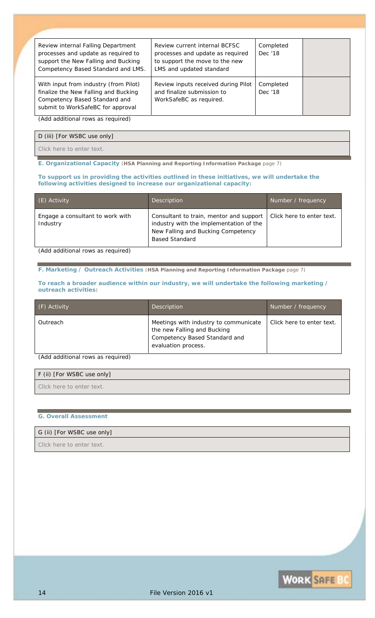| Review internal Falling Department<br>processes and update as required to<br>support the New Falling and Bucking<br>Competency Based Standard and LMS. | Review current internal BCFSC<br>processes and update as required<br>to support the move to the new<br>LMS and updated standard | Completed<br>Dec '18 |  |
|--------------------------------------------------------------------------------------------------------------------------------------------------------|---------------------------------------------------------------------------------------------------------------------------------|----------------------|--|
| With input from industry (from Pilot)<br>finalize the New Falling and Bucking<br>Competency Based Standard and<br>submit to WorkSafeBC for approval    | Review inputs received during Pilot<br>and finalize submission to<br>WorkSafeBC as required.                                    | Completed<br>Dec '18 |  |
| (Add, additional runs on result)                                                                                                                       |                                                                                                                                 |                      |  |

*(Add additional rows as required)* 

D (iii) [For WSBC use only]

*Click here to enter text.*

**E. Organizational Capacity** (**HSA Planning and Reporting Information Package** page 7)

#### **To support us in providing the activities outlined in these initiatives, we will undertake the following activities designed to increase our organizational capacity:**

| (E) Activity                                 | Description                                                                                                                                       | Number / frequency        |
|----------------------------------------------|---------------------------------------------------------------------------------------------------------------------------------------------------|---------------------------|
| Engage a consultant to work with<br>Industry | Consultant to train, mentor and support<br>industry with the implementation of the<br>New Falling and Bucking Competency<br><b>Based Standard</b> | Click here to enter text. |

*(Add additional rows as required)* 

**F. Marketing / Outreach Activities** (**HSA Planning and Reporting Information Package** page 7)

#### **To reach a broader audience within our industry, we will undertake the following marketing / outreach activities:**

| (F) Activity | Description                                                                                                                  | Number / frequency        |
|--------------|------------------------------------------------------------------------------------------------------------------------------|---------------------------|
| Outreach     | Meetings with industry to communicate<br>the new Falling and Bucking<br>Competency Based Standard and<br>evaluation process. | Click here to enter text. |

*(Add additional rows as required)* 

| F (ii) [For WSBC use only] |  |
|----------------------------|--|
| Click here to enter text.  |  |

#### **G. Overall Assessment**

### G (ii) [For WSBC use only]

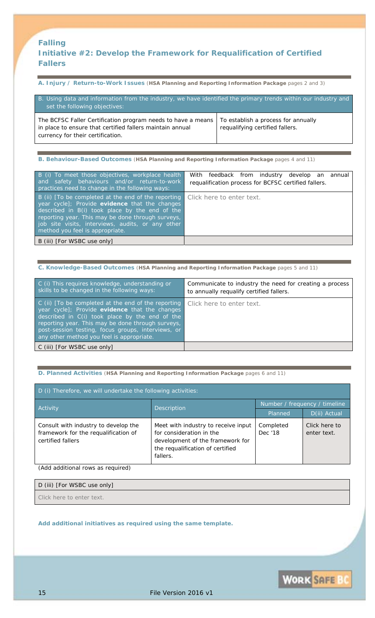# **Falling Initiative #2: Develop the Framework for Requalification of Certified Fallers**

**A. Injury / Return-to-Work Issues** (**HSA Planning and Reporting Information Package** pages 2 and 3)

| B. Using data and information from the industry, we have identified the primary trends within our industry and<br>set the following objectives:                |                                                                        |  |
|----------------------------------------------------------------------------------------------------------------------------------------------------------------|------------------------------------------------------------------------|--|
| The BCFSC Faller Certification program needs to have a means<br>in place to ensure that certified fallers maintain annual<br>currency for their certification. | To establish a process for annually<br>requalifying certified fallers. |  |

**B. Behaviour-Based Outcomes** (**HSA Planning and Reporting Information Package** pages 4 and 11)

| B (i) To meet those objectives, workplace health<br>and safety behaviours and/or return-to-work<br>practices need to change in the following ways:                                                                                                                                                   | With feedback from industry develop an annual<br>requalification process for BCFSC certified fallers. |
|------------------------------------------------------------------------------------------------------------------------------------------------------------------------------------------------------------------------------------------------------------------------------------------------------|-------------------------------------------------------------------------------------------------------|
| B (ii) [To be completed at the end of the reporting<br>year cycle]; Provide evidence that the changes<br>described in B(i) took place by the end of the<br>reporting year. This may be done through surveys,<br>job site visits, interviews, audits, or any other<br>method you feel is appropriate. | Click here to enter text.                                                                             |
| B (iii) [ <i>For WSBC use only</i> ]                                                                                                                                                                                                                                                                 |                                                                                                       |

**C. Knowledge-Based Outcomes** (**HSA Planning and Reporting Information Package** pages 5 and 11)

| C (i) This requires knowledge, understanding or<br>skills to be changed in the following ways:                                                                                                                                                                                                                    | Communicate to industry the need for creating a process<br>to annually requalify certified fallers. |
|-------------------------------------------------------------------------------------------------------------------------------------------------------------------------------------------------------------------------------------------------------------------------------------------------------------------|-----------------------------------------------------------------------------------------------------|
| C (ii) [To be completed at the end of the reporting  <br>year cycle]; Provide evidence that the changes<br>described in C(i) took place by the end of the<br>reporting year. This may be done through surveys,<br>post-session testing, focus groups, interviews, or<br>any other method you feel is appropriate. | Click here to enter text.                                                                           |
| C (iii) [ <i>For WSBC use only</i> ]                                                                                                                                                                                                                                                                              |                                                                                                     |

**D. Planned Activities** (**HSA Planning and Reporting Information Package** pages 6 and 11)

| D (i) Therefore, we will undertake the following activities:                                      |                                                                                                                                                     |                               |                              |
|---------------------------------------------------------------------------------------------------|-----------------------------------------------------------------------------------------------------------------------------------------------------|-------------------------------|------------------------------|
|                                                                                                   | Description                                                                                                                                         | Number / frequency / timeline |                              |
| Activity                                                                                          |                                                                                                                                                     | Planned                       | D(ii) Actual                 |
| Consult with industry to develop the<br>framework for the requalification of<br>certified fallers | Meet with industry to receive input<br>for consideration in the<br>development of the framework for<br>the requalification of certified<br>fallers. | Completed<br>Dec '18          | Click here to<br>enter text. |

*(Add additional rows as required)* 

| D (iii) [For WSBC use only] |  |
|-----------------------------|--|
| Click here to enter text.   |  |

*Add additional initiatives as required using the same template.* 

**WORK SAFE BC**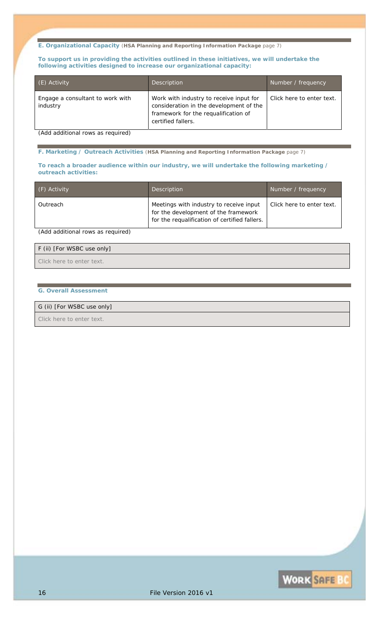**E. Organizational Capacity** (**HSA Planning and Reporting Information Package** page 7)

**To support us in providing the activities outlined in these initiatives, we will undertake the following activities designed to increase our organizational capacity:** 

| (E) Activity                                 | Description                                                                                                                                      | Number / frequency        |
|----------------------------------------------|--------------------------------------------------------------------------------------------------------------------------------------------------|---------------------------|
| Engage a consultant to work with<br>industry | Work with industry to receive input for<br>consideration in the development of the<br>framework for the requalification of<br>certified fallers. | Click here to enter text. |

*(Add additional rows as required)* 

**F. Marketing / Outreach Activities** (**HSA Planning and Reporting Information Package** page 7)

#### **To reach a broader audience within our industry, we will undertake the following marketing / outreach activities:**

| (F) Activity | Description                                                                                                                      | Number / frequency        |
|--------------|----------------------------------------------------------------------------------------------------------------------------------|---------------------------|
| Outreach     | Meetings with industry to receive input<br>for the development of the framework<br>for the requalification of certified fallers. | Click here to enter text. |

*(Add additional rows as required)* 

| F (ii) [For WSBC use only] |  |
|----------------------------|--|
| Click here to enter text.  |  |

### **G. Overall Assessment**

G (ii) [For WSBC use only]

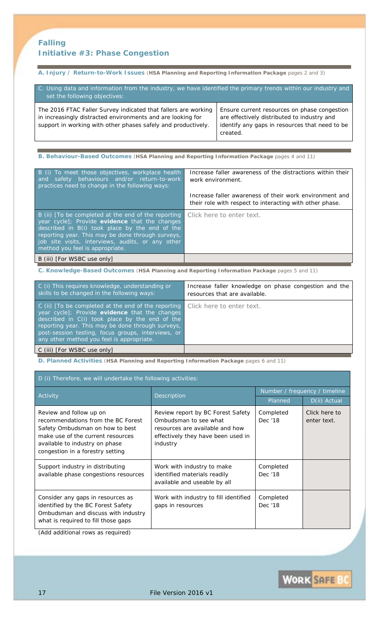# **Falling Initiative #3: Phase Congestion**

**A. Injury / Return-to-Work Issues** (**HSA Planning and Reporting Information Package** pages 2 and 3)

| C. Using data and information from the industry, we have identified the primary trends within our industry and<br>set the following objectives:                                                |                                                                                                                                                           |
|------------------------------------------------------------------------------------------------------------------------------------------------------------------------------------------------|-----------------------------------------------------------------------------------------------------------------------------------------------------------|
| The 2016 FTAC Faller Survey indicated that fallers are working<br>in increasingly distracted environments and are looking for<br>support in working with other phases safely and productively. | Ensure current resources on phase congestion<br>are effectively distributed to industry and<br>identify any gaps in resources that need to be<br>created. |

**B. Behaviour-Based Outcomes** (**HSA Planning and Reporting Information Package** pages 4 and 11)

| B (i) To meet those objectives, workplace health<br>safety behaviours and/or return-to-work<br>and<br>practices need to change in the following ways:                                                                                                                                                               | Increase faller awareness of the distractions within their<br>work environment.                                     |
|---------------------------------------------------------------------------------------------------------------------------------------------------------------------------------------------------------------------------------------------------------------------------------------------------------------------|---------------------------------------------------------------------------------------------------------------------|
|                                                                                                                                                                                                                                                                                                                     | Increase faller awareness of their work environment and<br>their role with respect to interacting with other phase. |
| B (ii) [To be completed at the end of the reporting<br><i>year cycle</i> ]; Provide <b>evidence</b> that the changes<br>described in B(i) took place by the end of the<br>reporting year. This may be done through surveys,<br>job site visits, interviews, audits, or any other<br>method you feel is appropriate. | Click here to enter text.                                                                                           |
| B (iii) [ <i>For WSBC use only</i> ]                                                                                                                                                                                                                                                                                |                                                                                                                     |

**C. Knowledge-Based Outcomes** (**HSA Planning and Reporting Information Package** pages 5 and 11)

| C (i) This requires knowledge, understanding or<br>skills to be changed in the following ways:                                                                                                                                                                                                                  | Increase faller knowledge on phase congestion and the<br>resources that are available. |
|-----------------------------------------------------------------------------------------------------------------------------------------------------------------------------------------------------------------------------------------------------------------------------------------------------------------|----------------------------------------------------------------------------------------|
| C (ii) [To be completed at the end of the reporting<br>year cycle]; Provide evidence that the changes<br>described in C(i) took place by the end of the<br>reporting year. This may be done through surveys,<br>post-session testing, focus groups, interviews, or<br>any other method you feel is appropriate. | Click here to enter text.                                                              |
| C (iii) [For WSBC use only]                                                                                                                                                                                                                                                                                     |                                                                                        |

**D. Planned Activities** (**HSA Planning and Reporting Information Package** pages 6 and 11)

| D (i) Therefore, we will undertake the following activities:                                                                                                                                                |                                                                                                                                                 |                               |                              |
|-------------------------------------------------------------------------------------------------------------------------------------------------------------------------------------------------------------|-------------------------------------------------------------------------------------------------------------------------------------------------|-------------------------------|------------------------------|
| Activity                                                                                                                                                                                                    | Description                                                                                                                                     | Number / frequency / timeline |                              |
|                                                                                                                                                                                                             |                                                                                                                                                 | Planned                       | D(ii) Actual                 |
| Review and follow up on<br>recommendations from the BC Forest<br>Safety Ombudsman on how to best<br>make use of the current resources<br>available to industry on phase<br>congestion in a forestry setting | Review report by BC Forest Safety<br>Ombudsman to see what<br>resources are available and how<br>effectively they have been used in<br>industry | Completed<br>Dec '18          | Click here to<br>enter text. |
| Support industry in distributing<br>available phase congestions resources                                                                                                                                   | Work with industry to make<br><i>identified materials readily</i><br>available and useable by all                                               | Completed<br>Dec '18          |                              |
| Consider any gaps in resources as<br>identified by the BC Forest Safety<br>Ombudsman and discuss with industry<br>what is required to fill those gaps                                                       | Work with industry to fill identified<br>gaps in resources                                                                                      | Completed<br>Dec '18          |                              |

*(Add additional rows as required)* 

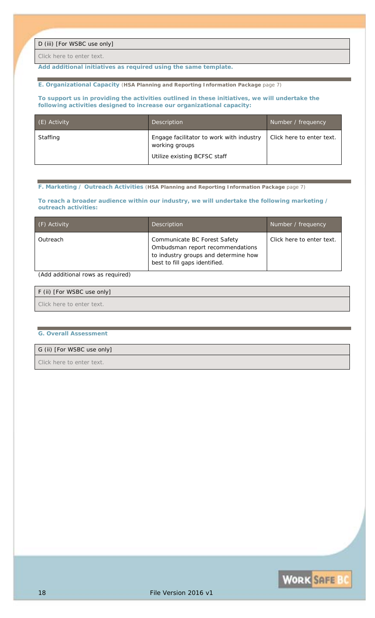D (iii) [For WSBC use only]

*Click here to enter text.*

*Add additional initiatives as required using the same template.* 

#### **E. Organizational Capacity** (**HSA Planning and Reporting Information Package** page 7)

#### **To support us in providing the activities outlined in these initiatives, we will undertake the following activities designed to increase our organizational capacity:**

| (E) Activity | <b>Description</b>                                                                         | Number / frequency        |
|--------------|--------------------------------------------------------------------------------------------|---------------------------|
| Staffing     | Engage facilitator to work with industry<br>working groups<br>Utilize existing BCFSC staff | Click here to enter text. |

**F. Marketing / Outreach Activities** (**HSA Planning and Reporting Information Package** page 7)

#### **To reach a broader audience within our industry, we will undertake the following marketing / outreach activities:**

| (F) Activity | Description                                                                                                                               | Number / frequency        |
|--------------|-------------------------------------------------------------------------------------------------------------------------------------------|---------------------------|
| Outreach     | Communicate BC Forest Safety<br>Ombudsman report recommendations<br>to industry groups and determine how<br>best to fill gaps identified. | Click here to enter text. |

### *(Add additional rows as required)*

| F (ii) [For WSBC use only] |  |
|----------------------------|--|
| Click here to enter text.  |  |

#### **G. Overall Assessment**

### G (ii) [For WSBC use only]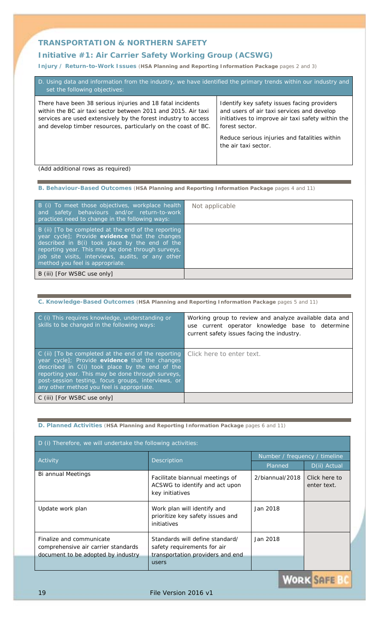# **Initiative #1:** *Air Carrier Safety Working Group (ACSWG)*

**Injury / Return-to-Work Issues** (**HSA Planning and Reporting Information Package** pages 2 and 3)

| D. Using data and information from the industry, we have identified the primary trends within our industry and<br>set the following objectives:                                                                                                                 |                                                                                                                                                                                                                                           |  |  |
|-----------------------------------------------------------------------------------------------------------------------------------------------------------------------------------------------------------------------------------------------------------------|-------------------------------------------------------------------------------------------------------------------------------------------------------------------------------------------------------------------------------------------|--|--|
| There have been 38 serious injuries and 18 fatal incidents<br>within the BC air taxi sector between 2011 and 2015. Air taxi<br>services are used extensively by the forest industry to access<br>and develop timber resources, particularly on the coast of BC. | Identify key safety issues facing providers<br>and users of air taxi services and develop<br>initiatives to improve air taxi safety within the<br>forest sector.<br>Reduce serious injuries and fatalities within<br>the air taxi sector. |  |  |
|                                                                                                                                                                                                                                                                 |                                                                                                                                                                                                                                           |  |  |

*(Add additional rows as required)* 

### **B. Behaviour-Based Outcomes** (**HSA Planning and Reporting Information Package** pages 4 and 11)

| B (i) To meet those objectives, workplace health<br>and safety behaviours and/or return-to-work<br>practices need to change in the following ways:                                                                                                                                                   | Not applicable |
|------------------------------------------------------------------------------------------------------------------------------------------------------------------------------------------------------------------------------------------------------------------------------------------------------|----------------|
| B (ii) [To be completed at the end of the reporting<br>year cycle]; Provide evidence that the changes<br>described in B(i) took place by the end of the<br>reporting year. This may be done through surveys,<br>job site visits, interviews, audits, or any other<br>method you feel is appropriate. |                |
| B (iii) [For WSBC use only]                                                                                                                                                                                                                                                                          |                |

### **C. Knowledge-Based Outcomes** (**HSA Planning and Reporting Information Package** pages 5 and 11)

| C (i) This requires knowledge, understanding or<br>skills to be changed in the following ways:                                                                                                                                                                                                                  | Working group to review and analyze available data and<br>use current operator knowledge base to determine<br>current safety issues facing the industry. |
|-----------------------------------------------------------------------------------------------------------------------------------------------------------------------------------------------------------------------------------------------------------------------------------------------------------------|----------------------------------------------------------------------------------------------------------------------------------------------------------|
| C (ii) [To be completed at the end of the reporting<br>year cycle]; Provide evidence that the changes<br>described in C(i) took place by the end of the<br>reporting year. This may be done through surveys,<br>post-session testing, focus groups, interviews, or<br>any other method you feel is appropriate. | Click here to enter text.                                                                                                                                |
| C (iii) [ <i>For WSBC use only</i> ]                                                                                                                                                                                                                                                                            |                                                                                                                                                          |

### **D. Planned Activities** (**HSA Planning and Reporting Information Package** pages 6 and 11)

| D (i) Therefore, we will undertake the following activities:                                          |                                                                                                             |                               |                              |
|-------------------------------------------------------------------------------------------------------|-------------------------------------------------------------------------------------------------------------|-------------------------------|------------------------------|
| Activity                                                                                              | Description                                                                                                 | Number / frequency / timeline |                              |
|                                                                                                       |                                                                                                             | Planned                       | D(ii) Actual                 |
| Bi annual Meetings                                                                                    | Facilitate biannual meetings of<br>ACSWG to identify and act upon<br>key initiatives                        | 2/biannual/2018               | Click here to<br>enter text. |
| Update work plan                                                                                      | Work plan will identify and<br>prioritize key safety issues and<br>initiatives                              | Jan 2018                      |                              |
| Finalize and communicate<br>comprehensive air carrier standards<br>document to be adopted by industry | Standards will define standard/<br>safety requirements for air<br>transportation providers and end<br>users | Jan 2018                      |                              |

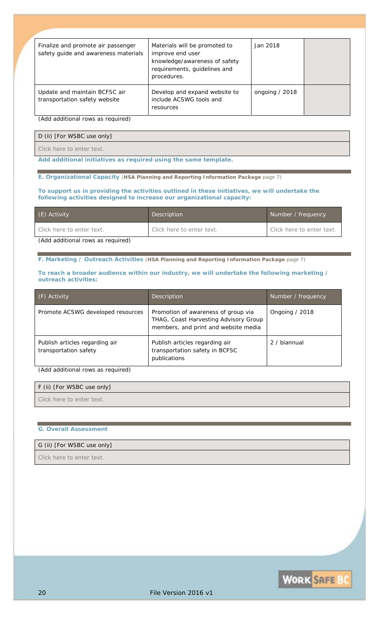| Finalize and promote air passenger<br>safety guide and awareness materials | Materials will be promoted to<br>improve end user<br>knowledge/awareness of safety<br>requirements, guidelines and<br>procedures. | Jan 2018        |  |
|----------------------------------------------------------------------------|-----------------------------------------------------------------------------------------------------------------------------------|-----------------|--|
| Update and maintain BCFSC air<br>transportation safety website             | Develop and expand website to<br>include ACSWG tools and<br>resources                                                             | ongoing $/2018$ |  |

*(Add additional rows as required)* 

D (ii) [For WSBC use only]

*Click here to enter text.*

*Add additional initiatives as required using the same template.* 

**E. Organizational Capacity** (**HSA Planning and Reporting Information Package** page 7)

#### **To support us in providing the activities outlined in these initiatives, we will undertake the following activities designed to increase our organizational capacity:**

| (E) Activity                      | Description               | Number / frequency        |
|-----------------------------------|---------------------------|---------------------------|
| Click here to enter text.         | Click here to enter text. | Click here to enter text. |
| (Add additional rows as required) |                           |                           |

**F. Marketing / Outreach Activities** (**HSA Planning and Reporting Information Package** page 7)

#### **To reach a broader audience within our industry, we will undertake the following marketing / outreach activities:**

| $(F)$ Activity                                          | <b>Description</b>                                                                                                   | Number / frequency |
|---------------------------------------------------------|----------------------------------------------------------------------------------------------------------------------|--------------------|
| Promote ACSWG developed resources                       | Promotion of awareness of group via<br>THAG, Coast Harvesting Advisory Group<br>members, and print and website media | Ongoing / 2018     |
| Publish articles regarding air<br>transportation safety | Publish articles regarding air<br>transportation safety in BCFSC<br>publications                                     | 2 / biannual       |

*(Add additional rows as required)* 

| F (ii) [For WSBC use only] |  |
|----------------------------|--|
| Click here to enter text.  |  |

#### **G. Overall Assessment**

### G (ii) [For WSBC use only]

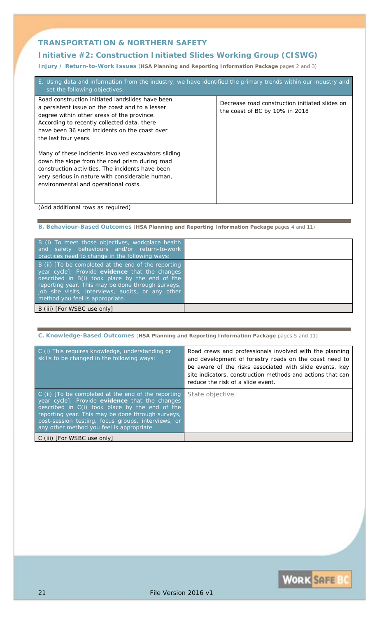## **Initiative #2:** *Construction Initiated Slides Working Group (CISWG)*

**Injury / Return-to-Work Issues** (**HSA Planning and Reporting Information Package** pages 2 and 3)

| E. Using data and information from the industry, we have identified the primary trends within our industry and<br>set the following objectives:                                                                                                                           |                                                                                  |
|---------------------------------------------------------------------------------------------------------------------------------------------------------------------------------------------------------------------------------------------------------------------------|----------------------------------------------------------------------------------|
| Road construction initiated landslides have been<br>a persistent issue on the coast and to a lesser<br>degree within other areas of the province.<br>According to recently collected data, there<br>have been 36 such incidents on the coast over<br>the last four years. | Decrease road construction initiated slides on<br>the coast of BC by 10% in 2018 |
| Many of these incidents involved excavators sliding<br>down the slope from the road prism during road<br>construction activities. The incidents have been<br>very serious in nature with considerable human,<br>environmental and operational costs.                      |                                                                                  |

### *(Add additional rows as required)*

**B. Behaviour-Based Outcomes** (**HSA Planning and Reporting Information Package** pages 4 and 11)

| B (i) To meet those objectives, workplace health<br>and safety behaviours and/or return-to-work<br>practices need to change in the following ways:                                                                                                                                                   |  |
|------------------------------------------------------------------------------------------------------------------------------------------------------------------------------------------------------------------------------------------------------------------------------------------------------|--|
| B (ii) [To be completed at the end of the reporting<br>year cycle]; Provide evidence that the changes<br>described in B(i) took place by the end of the<br>reporting year. This may be done through surveys,<br>job site visits, interviews, audits, or any other<br>method you feel is appropriate. |  |
| B (iii) [ <i>For WSBC use only</i> ]                                                                                                                                                                                                                                                                 |  |

#### **C. Knowledge-Based Outcomes** (**HSA Planning and Reporting Information Package** pages 5 and 11)

| C (i) This requires knowledge, understanding or<br>skills to be changed in the following ways:                                                                                                                                                                                                                          | Road crews and professionals involved with the planning<br>and development of forestry roads on the coast need to<br>be aware of the risks associated with slide events, key<br>site indicators, construction methods and actions that can<br>reduce the risk of a slide event. |
|-------------------------------------------------------------------------------------------------------------------------------------------------------------------------------------------------------------------------------------------------------------------------------------------------------------------------|---------------------------------------------------------------------------------------------------------------------------------------------------------------------------------------------------------------------------------------------------------------------------------|
| $\circ$ C (ii) [To be completed at the end of the reporting<br>year cycle]; Provide evidence that the changes<br>described in C(i) took place by the end of the<br>reporting year. This may be done through surveys,<br>post-session testing, focus groups, interviews, or<br>any other method you feel is appropriate. | State objective.                                                                                                                                                                                                                                                                |
| C (iii) [ <i>For WSBC use only</i> ]                                                                                                                                                                                                                                                                                    |                                                                                                                                                                                                                                                                                 |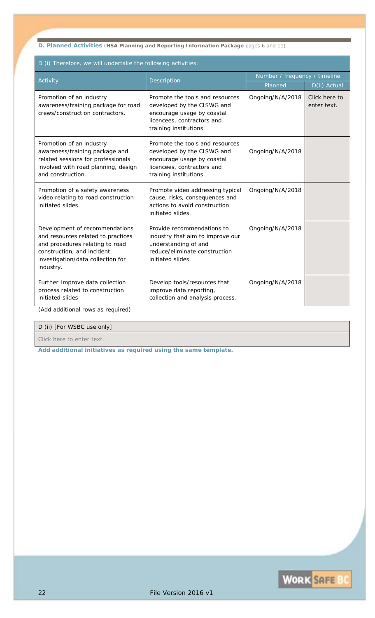**D. Planned Activities** (**HSA Planning and Reporting Information Package** pages 6 and 11)

| D (i) Therefore, we will undertake the following activities:                                                                                                                            |                                                                                                                                                     |                               |                              |  |
|-----------------------------------------------------------------------------------------------------------------------------------------------------------------------------------------|-----------------------------------------------------------------------------------------------------------------------------------------------------|-------------------------------|------------------------------|--|
| Activity                                                                                                                                                                                | Description                                                                                                                                         | Number / frequency / timeline |                              |  |
|                                                                                                                                                                                         |                                                                                                                                                     | Planned                       | D(ii) Actual                 |  |
| Promotion of an industry<br>awareness/training package for road<br>crews/construction contractors.                                                                                      | Promote the tools and resources<br>developed by the CISWG and<br>encourage usage by coastal<br>licencees, contractors and<br>training institutions. | Ongoing/N/A/2018              | Click here to<br>enter text. |  |
| Promotion of an industry<br>awareness/training package and<br>related sessions for professionals<br>involved with road planning, design<br>and construction.                            | Promote the tools and resources<br>developed by the CISWG and<br>encourage usage by coastal<br>licencees, contractors and<br>training institutions. | Ongoing/N/A/2018              |                              |  |
| Promotion of a safety awareness<br>video relating to road construction<br>initiated slides.                                                                                             | Promote video addressing typical<br>cause, risks, consequences and<br>actions to avoid construction<br>initiated slides.                            | Ongoing/N/A/2018              |                              |  |
| Development of recommendations<br>and resources related to practices<br>and procedures relating to road<br>construction, and incident<br>investigation/data collection for<br>industry. | Provide recommendations to<br>industry that aim to improve our<br>understanding of and<br>reduce/eliminate construction<br>initiated slides.        | Ongoing/N/A/2018              |                              |  |
| Further Improve data collection<br>process related to construction<br>initiated slides                                                                                                  | Develop tools/resources that<br>improve data reporting,<br>collection and analysis process.                                                         | Ongoing/N/A/2018              |                              |  |

*(Add additional rows as required)* 

### D (ii) [For WSBC use only]

*Click here to enter text.*

Ē

*Add additional initiatives as required using the same template.* 

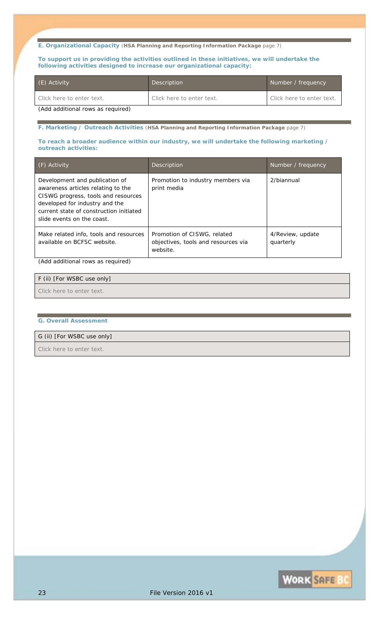**E. Organizational Capacity** (**HSA Planning and Reporting Information Package** page 7)

**To support us in providing the activities outlined in these initiatives, we will undertake the following activities designed to increase our organizational capacity:** 

| (E) Activity                       | Description               | Number / frequency               |
|------------------------------------|---------------------------|----------------------------------|
| Click here to enter text.          | Click here to enter text. | <i>Click here to enter text.</i> |
| (Add additional rouse as roquired) |                           |                                  |

*(Add additional rows as required)* 

**F. Marketing / Outreach Activities** (**HSA Planning and Reporting Information Package** page 7)

**To reach a broader audience within our industry, we will undertake the following marketing / outreach activities:** 

| $(F)$ Activity                                                                                                                                                                                                         | Description                                                                    | Number / frequency            |
|------------------------------------------------------------------------------------------------------------------------------------------------------------------------------------------------------------------------|--------------------------------------------------------------------------------|-------------------------------|
| Development and publication of<br>awareness articles relating to the<br>CISWG progress, tools and resources<br>developed for industry and the<br>current state of construction initiated<br>slide events on the coast. | Promotion to industry members via<br>print media                               | 2/biannual                    |
| Make related info, tools and resources<br>available on BCFSC website.                                                                                                                                                  | Promotion of CISWG, related<br>objectives, tools and resources via<br>website. | 4/Review, update<br>quarterly |

*(Add additional rows as required)* 

| F (ii) [For WSBC use only] |  |
|----------------------------|--|
| Click here to enter text.  |  |

#### **G. Overall Assessment**

### G (ii) [For WSBC use only]

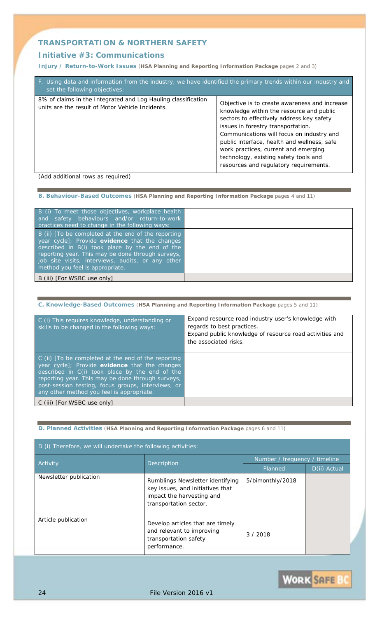### **Initiative #3:** *Communications*

**Injury / Return-to-Work Issues** (**HSA Planning and Reporting Information Package** pages 2 and 3)

| F. Using data and information from the industry, we have identified the primary trends within our industry and<br>set the following objectives: |                                                                                                                                                                                                                                                                                                                                                                                                     |
|-------------------------------------------------------------------------------------------------------------------------------------------------|-----------------------------------------------------------------------------------------------------------------------------------------------------------------------------------------------------------------------------------------------------------------------------------------------------------------------------------------------------------------------------------------------------|
| 8% of claims in the Integrated and Log Hauling classification<br>units are the result of Motor Vehicle Incidents.                               | Objective is to create awareness and increase<br>knowledge within the resource and public<br>sectors to effectively address key safety<br>issues in forestry transportation.<br>Communications will focus on industry and<br>public interface, health and wellness, safe<br>work practices, current and emerging<br>technology, existing safety tools and<br>resources and regulatory requirements. |
|                                                                                                                                                 |                                                                                                                                                                                                                                                                                                                                                                                                     |

*(Add additional rows as required)* 

### **B. Behaviour-Based Outcomes** (**HSA Planning and Reporting Information Package** pages 4 and 11)

| B (i) To meet those objectives, workplace health<br>and safety behaviours and/or return-to-work<br>practices need to change in the following ways:                                                                                                                                                   |  |
|------------------------------------------------------------------------------------------------------------------------------------------------------------------------------------------------------------------------------------------------------------------------------------------------------|--|
| B (ii) [To be completed at the end of the reporting<br>year cycle]; Provide evidence that the changes<br>described in B(i) took place by the end of the<br>reporting year. This may be done through surveys,<br>job site visits, interviews, audits, or any other<br>method you feel is appropriate. |  |
| B (iii) [ <i>For WSBC use only</i> ]                                                                                                                                                                                                                                                                 |  |

#### **C. Knowledge-Based Outcomes** (**HSA Planning and Reporting Information Package** pages 5 and 11)

| C (i) This requires knowledge, understanding or<br>skills to be changed in the following ways:                                                                                                                                                                                                                  | Expand resource road industry user's knowledge with<br>regards to best practices.<br>Expand public knowledge of resource road activities and<br>the associated risks. |
|-----------------------------------------------------------------------------------------------------------------------------------------------------------------------------------------------------------------------------------------------------------------------------------------------------------------|-----------------------------------------------------------------------------------------------------------------------------------------------------------------------|
| C (ii) [To be completed at the end of the reporting<br>year cycle]; Provide evidence that the changes<br>described in C(i) took place by the end of the<br>reporting year. This may be done through surveys,<br>post-session testing, focus groups, interviews, or<br>any other method you feel is appropriate. |                                                                                                                                                                       |
| C (iii) [ <i>For WSBC use only</i> ]                                                                                                                                                                                                                                                                            |                                                                                                                                                                       |

### **D. Planned Activities** (**HSA Planning and Reporting Information Package** pages 6 and 11)

| D (i) Therefore, we will undertake the following activities: |                                                                                                                             |                               |              |
|--------------------------------------------------------------|-----------------------------------------------------------------------------------------------------------------------------|-------------------------------|--------------|
| Activity                                                     | <b>Description</b>                                                                                                          | Number / frequency / timeline |              |
|                                                              |                                                                                                                             | Planned                       | D(ii) Actual |
| Newsletter publication                                       | Rumblings Newsletter identifying<br>key issues, and initiatives that<br>impact the harvesting and<br>transportation sector. | 5/bimonthly/2018              |              |
| Article publication                                          | Develop articles that are timely<br>and relevant to improving<br>transportation safety<br>performance.                      | 3/2018                        |              |

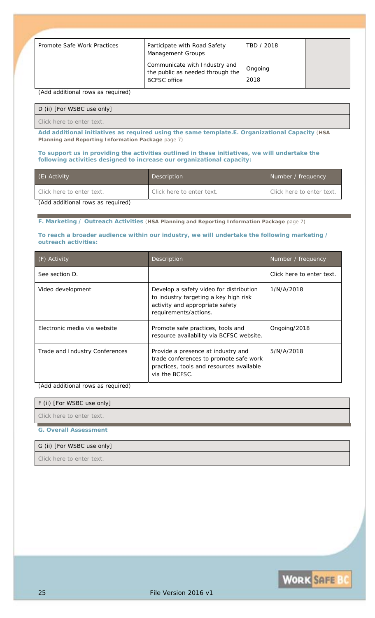| Promote Safe Work Practices | Participate with Road Safety<br>Management Groups                                        | TBD / 2018      |  |
|-----------------------------|------------------------------------------------------------------------------------------|-----------------|--|
|                             | Communicate with Industry and<br>the public as needed through the<br><b>BCFSC</b> office | Ongoing<br>2018 |  |

*(Add additional rows as required)* 

#### D (ii) [For WSBC use only]

*Click here to enter text.*

*Add additional initiatives as required using the same template.***E. Organizational Capacity** (**HSA Planning and Reporting Information Package** page 7)

#### **To support us in providing the activities outlined in these initiatives, we will undertake the following activities designed to increase our organizational capacity:**

| (E) Activity                      | Description               | Number / frequency        |
|-----------------------------------|---------------------------|---------------------------|
| Click here to enter text.         | Click here to enter text. | Click here to enter text. |
| (Add additional rows as required) |                           |                           |

# **F. Marketing / Outreach Activities** (**HSA Planning and Reporting Information Package** page 7)

#### **To reach a broader audience within our industry, we will undertake the following marketing / outreach activities:**

| (F) Activity                   | <b>Description</b>                                                                                                                           | Number / frequency        |
|--------------------------------|----------------------------------------------------------------------------------------------------------------------------------------------|---------------------------|
| See section D.                 |                                                                                                                                              | Click here to enter text. |
| Video development              | Develop a safety video for distribution<br>to industry targeting a key high risk<br>activity and appropriate safety<br>requirements/actions. | <i>1/N/A/2018</i>         |
| Electronic media via website   | Promote safe practices, tools and<br>resource availability via BCFSC website.                                                                | Ongoing/2018              |
| Trade and Industry Conferences | Provide a presence at industry and<br>trade conferences to promote safe work<br>practices, tools and resources available<br>via the BCFSC.   | <i>5/N/A/2018</i>         |

*(Add additional rows as required)* 

| F (ii) [For WSBC use only] |  |
|----------------------------|--|
| Click here to enter text.  |  |

**G. Overall Assessment** 

#### G (ii) [For WSBC use only]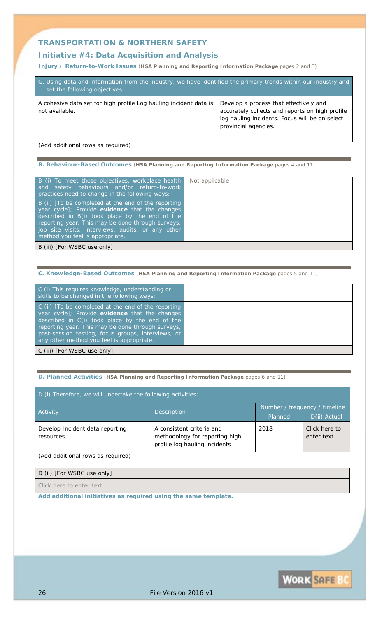### **Initiative #4:** *Data Acquisition and Analysis*

**Injury / Return-to-Work Issues** (**HSA Planning and Reporting Information Package** pages 2 and 3)

| G. Using data and information from the industry, we have identified the primary trends within our industry and<br>set the following objectives: |                                                                                                                                                                     |  |  |
|-------------------------------------------------------------------------------------------------------------------------------------------------|---------------------------------------------------------------------------------------------------------------------------------------------------------------------|--|--|
| A cohesive data set for high profile Log hauling incident data is<br>not available.                                                             | Develop a process that effectively and<br>accurately collects and reports on high profile<br>log hauling incidents. Focus will be on select<br>provincial agencies. |  |  |

*(Add additional rows as required)* 

**B. Behaviour-Based Outcomes** (**HSA Planning and Reporting Information Package** pages 4 and 11)

| B (i) To meet those objectives, workplace health<br>and safety behaviours and/or return-to-work<br>practices need to change in the following ways:                                                                                                                                                   | Not applicable |
|------------------------------------------------------------------------------------------------------------------------------------------------------------------------------------------------------------------------------------------------------------------------------------------------------|----------------|
| B (ii) [To be completed at the end of the reporting<br>year cycle]; Provide evidence that the changes<br>described in B(i) took place by the end of the<br>reporting year. This may be done through surveys,<br>job site visits, interviews, audits, or any other<br>method you feel is appropriate. |                |
| B (iii) [ <i>For WSBC use only</i> ]                                                                                                                                                                                                                                                                 |                |

#### **C. Knowledge-Based Outcomes** (**HSA Planning and Reporting Information Package** pages 5 and 11)

| C (i) This requires knowledge, understanding or<br>skills to be changed in the following ways:                                                                                                                                                                                                                  |
|-----------------------------------------------------------------------------------------------------------------------------------------------------------------------------------------------------------------------------------------------------------------------------------------------------------------|
| C (ii) [To be completed at the end of the reporting<br>year cycle]; Provide evidence that the changes<br>described in C(i) took place by the end of the<br>reporting year. This may be done through surveys,<br>post-session testing, focus groups, interviews, or<br>any other method you feel is appropriate. |
| C (iii) [For WSBC use only]                                                                                                                                                                                                                                                                                     |

#### **D. Planned Activities** (**HSA Planning and Reporting Information Package** pages 6 and 11)

| D (i) Therefore, we will undertake the following activities: |                                                                                              |                               |                              |
|--------------------------------------------------------------|----------------------------------------------------------------------------------------------|-------------------------------|------------------------------|
|                                                              |                                                                                              | Number / frequency / timeline |                              |
| Activity                                                     | <b>Description</b>                                                                           | Planned                       | D(ii) Actual                 |
| Develop Incident data reporting<br>resources                 | A consistent criteria and<br>methodology for reporting high<br>profile log hauling incidents | 2018                          | Click here to<br>enter text. |

*(Add additional rows as required)* 

### D (ii) [For WSBC use only]

*Click here to enter text.*

*Add additional initiatives as required using the same template.* 

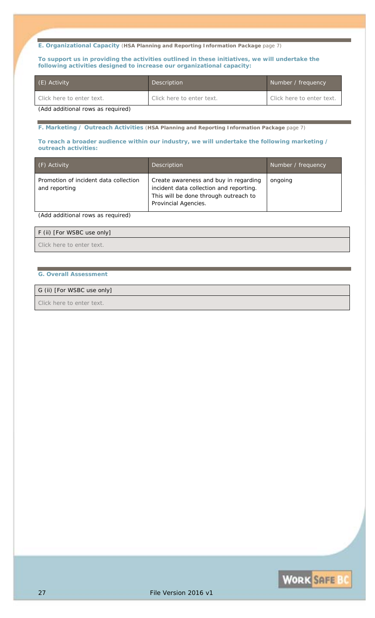**E. Organizational Capacity** (**HSA Planning and Reporting Information Package** page 7)

**To support us in providing the activities outlined in these initiatives, we will undertake the following activities designed to increase our organizational capacity:** 

| (E) Activity                      | Description               | Number / frequency        |
|-----------------------------------|---------------------------|---------------------------|
| Click here to enter text.         | Click here to enter text. | Click here to enter text. |
| (Add additional rule as required) |                           |                           |

*(Add additional rows as required)* 

**F. Marketing / Outreach Activities** (**HSA Planning and Reporting Information Package** page 7)

#### **To reach a broader audience within our industry, we will undertake the following marketing / outreach activities:**

| (F) Activity                                           | <b>Description</b>                                                                                                                                | Number / frequency |
|--------------------------------------------------------|---------------------------------------------------------------------------------------------------------------------------------------------------|--------------------|
| Promotion of incident data collection<br>and reporting | Create awareness and buy in regarding<br>incident data collection and reporting.<br>This will be done through outreach to<br>Provincial Agencies. | ongoing            |

*(Add additional rows as required)* 

#### F (ii) [For WSBC use only]

*Click here to enter text.*

#### **G. Overall Assessment**

### G (ii) [For WSBC use only]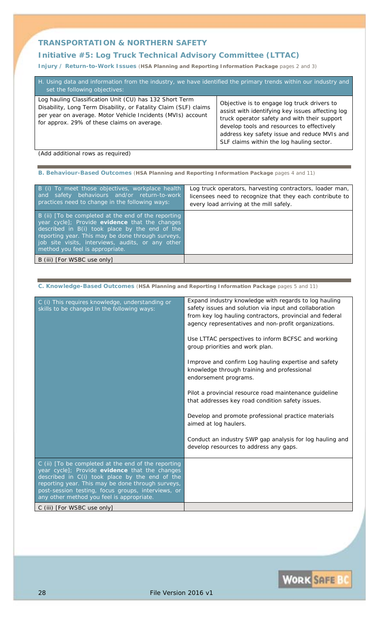# **Initiative #5:** *Log Truck Technical Advisory Committee (LTTAC)*

**Injury / Return-to-Work Issues** (**HSA Planning and Reporting Information Package** pages 2 and 3)

| H. Using data and information from the industry, we have identified the primary trends within our industry and<br>set the following objectives:                                                                                           |                                                                                                                                                                                                                                                                                            |  |  |
|-------------------------------------------------------------------------------------------------------------------------------------------------------------------------------------------------------------------------------------------|--------------------------------------------------------------------------------------------------------------------------------------------------------------------------------------------------------------------------------------------------------------------------------------------|--|--|
| Log hauling Classification Unit (CU) has 132 Short Term<br>Disability, Long Term Disability, or Fatality Claim (SLF) claims<br>per year on average. Motor Vehicle Incidents (MVIs) account<br>for approx. 29% of these claims on average. | Objective is to engage log truck drivers to<br>assist with identifying key issues affecting log<br>truck operator safety and with their support<br>develop tools and resources to effectively<br>address key safety issue and reduce MVIs and<br>SLF claims within the log hauling sector. |  |  |

*(Add additional rows as required)* 

**B. Behaviour-Based Outcomes** (**HSA Planning and Reporting Information Package** pages 4 and 11)

| B (i) To meet those objectives, workplace health<br>and safety behaviours and/or return-to-work<br>practices need to change in the following ways:                                                                                                                                                   | Log truck operators, harvesting contractors, loader man,<br>licensees need to recognize that they each contribute to<br>every load arriving at the mill safely. |
|------------------------------------------------------------------------------------------------------------------------------------------------------------------------------------------------------------------------------------------------------------------------------------------------------|-----------------------------------------------------------------------------------------------------------------------------------------------------------------|
| B (ii) [To be completed at the end of the reporting<br>year cycle]; Provide evidence that the changes<br>described in B(i) took place by the end of the<br>reporting year. This may be done through surveys,<br>job site visits, interviews, audits, or any other<br>method you feel is appropriate. |                                                                                                                                                                 |
| B (iii) [For WSBC use only]                                                                                                                                                                                                                                                                          |                                                                                                                                                                 |

**C. Knowledge-Based Outcomes** (**HSA Planning and Reporting Information Package** pages 5 and 11)

| C (i) This requires knowledge, understanding or<br>skills to be changed in the following ways:                                                                                                                                                                                                                  | Expand industry knowledge with regards to log hauling<br>safety issues and solution via input and collaboration<br>from key log hauling contractors, provincial and federal<br>agency representatives and non-profit organizations.<br>Use LTTAC perspectives to inform BCFSC and working<br>group priorities and work plan.<br>Improve and confirm Log hauling expertise and safety<br>knowledge through training and professional<br>endorsement programs.<br>Pilot a provincial resource road maintenance guideline<br>that addresses key road condition safety issues.<br>Develop and promote professional practice materials<br>aimed at log haulers.<br>Conduct an industry SWP gap analysis for log hauling and<br>develop resources to address any gaps. |
|-----------------------------------------------------------------------------------------------------------------------------------------------------------------------------------------------------------------------------------------------------------------------------------------------------------------|------------------------------------------------------------------------------------------------------------------------------------------------------------------------------------------------------------------------------------------------------------------------------------------------------------------------------------------------------------------------------------------------------------------------------------------------------------------------------------------------------------------------------------------------------------------------------------------------------------------------------------------------------------------------------------------------------------------------------------------------------------------|
| C (ii) [To be completed at the end of the reporting<br>year cycle]; Provide evidence that the changes<br>described in C(i) took place by the end of the<br>reporting year. This may be done through surveys,<br>post-session testing, focus groups, interviews, or<br>any other method you feel is appropriate. |                                                                                                                                                                                                                                                                                                                                                                                                                                                                                                                                                                                                                                                                                                                                                                  |
| C (iii) [For WSBC use only]                                                                                                                                                                                                                                                                                     |                                                                                                                                                                                                                                                                                                                                                                                                                                                                                                                                                                                                                                                                                                                                                                  |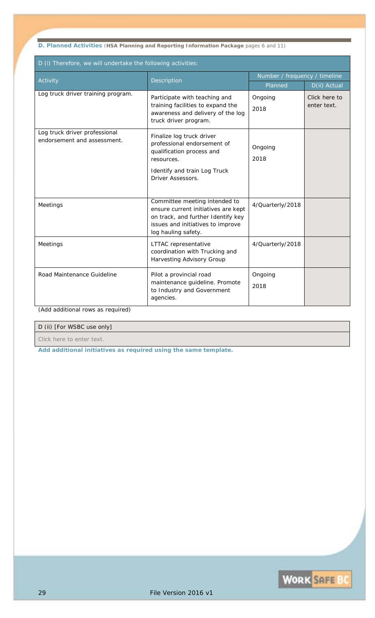**D. Planned Activities** (**HSA Planning and Reporting Information Package** pages 6 and 11)

| D (i) Therefore, we will undertake the following activities: |                                                                                                                                                                        |                               |                              |
|--------------------------------------------------------------|------------------------------------------------------------------------------------------------------------------------------------------------------------------------|-------------------------------|------------------------------|
| Activity                                                     | Description                                                                                                                                                            | Number / frequency / timeline |                              |
|                                                              |                                                                                                                                                                        |                               | D(ii) Actual                 |
| Log truck driver training program.                           | Participate with teaching and<br>training facilities to expand the<br>awareness and delivery of the log<br>truck driver program.                                       | Ongoing<br>2018               | Click here to<br>enter text. |
| Log truck driver professional<br>endorsement and assessment. | Finalize log truck driver<br>professional endorsement of<br>qualification process and<br>resources.<br>Identify and train Log Truck<br>Driver Assessors.               | Ongoing<br>2018               |                              |
| Meetings                                                     | Committee meeting intended to<br>ensure current initiatives are kept<br>on track, and further Identify key<br>issues and initiatives to improve<br>log hauling safety. | 4/Quarterly/2018              |                              |
| Meetings                                                     | LTTAC representative<br>coordination with Trucking and<br>Harvesting Advisory Group                                                                                    | 4/Quarterly/2018              |                              |
| Road Maintenance Guideline                                   | Pilot a provincial road<br>maintenance guideline. Promote<br>to Industry and Government<br>agencies.                                                                   | Ongoing<br>2018               |                              |

*(Add additional rows as required)* 

### D (ii) [For WSBC use only]

*Click here to enter text.*

*Add additional initiatives as required using the same template.* 

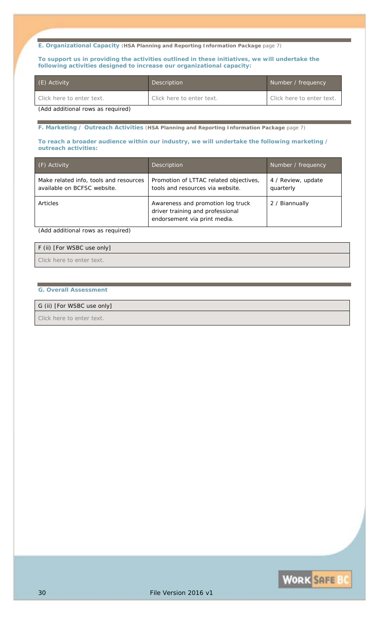**E. Organizational Capacity** (**HSA Planning and Reporting Information Package** page 7)

**To support us in providing the activities outlined in these initiatives, we will undertake the following activities designed to increase our organizational capacity:** 

| (E) Activity                      | Description               | Number / frequency        |
|-----------------------------------|---------------------------|---------------------------|
| Click here to enter text.         | Click here to enter text. | Click here to enter text. |
| (Add additional rule as required) |                           |                           |

*(Add additional rows as required)* 

**F. Marketing / Outreach Activities** (**HSA Planning and Reporting Information Package** page 7)

#### **To reach a broader audience within our industry, we will undertake the following marketing / outreach activities:**

| (F) Activity                                                          | <b>Description</b>                                                                                    | Number / frequency              |
|-----------------------------------------------------------------------|-------------------------------------------------------------------------------------------------------|---------------------------------|
| Make related info, tools and resources<br>available on BCFSC website. | Promotion of LTTAC related objectives,<br>tools and resources via website.                            | 4 / Review, update<br>quarterly |
| Articles                                                              | Awareness and promotion log truck<br>driver training and professional<br>endorsement via print media. | 2 / Biannually                  |

*(Add additional rows as required)* 

# F (ii) [For WSBC use only]

*Click here to enter text.*

### **G. Overall Assessment**

# G (ii) [For WSBC use only]

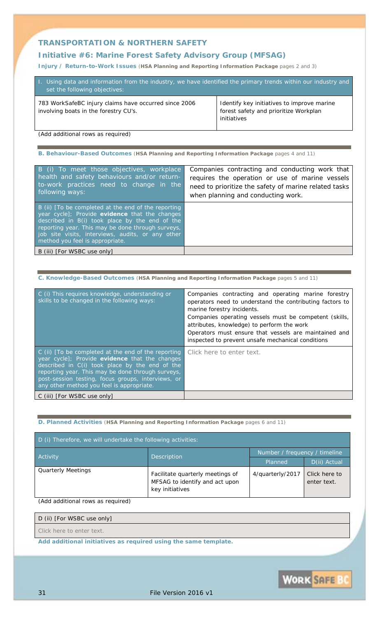## **Initiative #6:** *Marine Forest Safety Advisory Group (MFSAG)*

**Injury / Return-to-Work Issues** (**HSA Planning and Reporting Information Package** pages 2 and 3)

| 1. Using data and information from the industry, we have identified the primary trends within our industry and<br>set the following objectives: |                                                                                                    |
|-------------------------------------------------------------------------------------------------------------------------------------------------|----------------------------------------------------------------------------------------------------|
| 783 WorkSafeBC injury claims have occurred since 2006<br>involving boats in the forestry CU's.                                                  | Identify key initiatives to improve marine<br>forest safety and prioritize Workplan<br>initiatives |

*(Add additional rows as required)* 

**B. Behaviour-Based Outcomes** (**HSA Planning and Reporting Information Package** pages 4 and 11)

| B (i) To meet those objectives, workplace<br>health and safety behaviours and/or return-<br>to-work practices need to change in the<br>following ways:                                                                                                                                               | Companies contracting and conducting work that<br>requires the operation or use of marine vessels<br>need to prioritize the safety of marine related tasks<br>when planning and conducting work. |
|------------------------------------------------------------------------------------------------------------------------------------------------------------------------------------------------------------------------------------------------------------------------------------------------------|--------------------------------------------------------------------------------------------------------------------------------------------------------------------------------------------------|
| B (ii) [To be completed at the end of the reporting<br>year cycle]; Provide evidence that the changes<br>described in B(i) took place by the end of the<br>reporting year. This may be done through surveys,<br>job site visits, interviews, audits, or any other<br>method you feel is appropriate. |                                                                                                                                                                                                  |
| B (iii) [For WSBC use only]                                                                                                                                                                                                                                                                          |                                                                                                                                                                                                  |

**C. Knowledge-Based Outcomes** (**HSA Planning and Reporting Information Package** pages 5 and 11)

| C (i) This requires knowledge, understanding or<br>skills to be changed in the following ways:                                                                                                                                                                                                                 | Companies contracting and operating marine forestry<br>operators need to understand the contributing factors to<br>marine forestry incidents.<br>Companies operating vessels must be competent (skills,<br>attributes, knowledge) to perform the work<br>Operators must ensure that vessels are maintained and<br>inspected to prevent unsafe mechanical conditions |
|----------------------------------------------------------------------------------------------------------------------------------------------------------------------------------------------------------------------------------------------------------------------------------------------------------------|---------------------------------------------------------------------------------------------------------------------------------------------------------------------------------------------------------------------------------------------------------------------------------------------------------------------------------------------------------------------|
| C (ii) To be completed at the end of the reporting<br>year cycle]; Provide evidence that the changes<br>described in C(i) took place by the end of the<br>reporting year. This may be done through surveys,<br>post-session testing, focus groups, interviews, or<br>any other method you feel is appropriate. | Click here to enter text.                                                                                                                                                                                                                                                                                                                                           |
| C (iii) [ <i>For WSBC use only</i> ]                                                                                                                                                                                                                                                                           |                                                                                                                                                                                                                                                                                                                                                                     |

**D. Planned Activities** (**HSA Planning and Reporting Information Package** pages 6 and 11)

| D (i) Therefore, we will undertake the following activities: |                                                                                       |                  |                               |  |
|--------------------------------------------------------------|---------------------------------------------------------------------------------------|------------------|-------------------------------|--|
|                                                              | Activity<br>Description                                                               |                  | Number / frequency / timeline |  |
|                                                              |                                                                                       |                  | D(ii) Actual                  |  |
| <b>Quarterly Meetings</b>                                    | Facilitate quarterly meetings of<br>MFSAG to identify and act upon<br>key initiatives | 4/quarterly/2017 | Click here to<br>enter text.  |  |

*(Add additional rows as required)* 

### D (ii) [For WSBC use only]

*Click here to enter text.*

*Add additional initiatives as required using the same template.* 

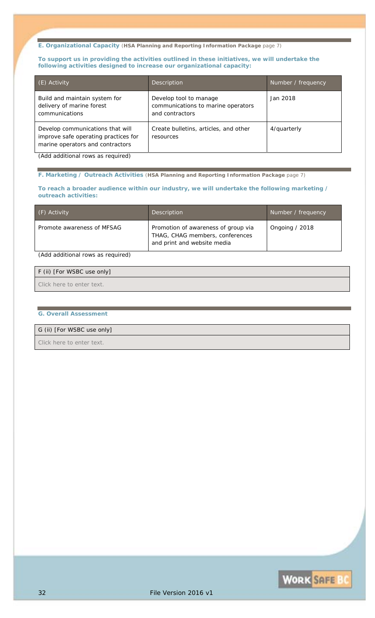#### **E. Organizational Capacity** (**HSA Planning and Reporting Information Package** page 7)

#### **To support us in providing the activities outlined in these initiatives, we will undertake the following activities designed to increase our organizational capacity:**

| (E) Activity                                                                                                 | Description                                                                     | Number / frequency |
|--------------------------------------------------------------------------------------------------------------|---------------------------------------------------------------------------------|--------------------|
| Build and maintain system for<br>delivery of marine forest<br>communications                                 | Develop tool to manage<br>communications to marine operators<br>and contractors | <i>Jan 2018</i>    |
| Develop communications that will<br>improve safe operating practices for<br>marine operators and contractors | Create bulletins, articles, and other<br>resources                              | 4/quarterly        |

*(Add additional rows as required)* 

**F. Marketing / Outreach Activities** (**HSA Planning and Reporting Information Package** page 7)

#### **To reach a broader audience within our industry, we will undertake the following marketing / outreach activities:**

| (F) Activity               | Description                                                                                           | Number / frequency |
|----------------------------|-------------------------------------------------------------------------------------------------------|--------------------|
| Promote awareness of MFSAG | Promotion of awareness of group via<br>THAG, CHAG members, conferences<br>and print and website media | Ongoing $/2018$    |

*(Add additional rows as required)* 

| F (ii) [For WSBC use only] |  |
|----------------------------|--|
| Click here to enter text.  |  |

#### **G. Overall Assessment**

### G (ii) [For WSBC use only]

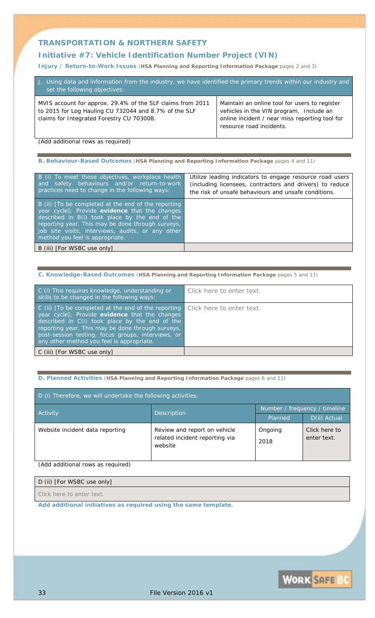## **Initiative #7:** *Vehicle Identification Number Project (VIN)*

**Injury / Return-to-Work Issues** (**HSA Planning and Reporting Information Package** pages 2 and 3)

| J. Using data and information from the industry, we have identified the primary trends within our industry and<br>set the following objectives:                  |                                                                                                                                                                        |
|------------------------------------------------------------------------------------------------------------------------------------------------------------------|------------------------------------------------------------------------------------------------------------------------------------------------------------------------|
| MVIS account for approx. 29.4% of the SLF claims from 2011<br>to 2015 for Log Hauling CU 732044 and 8.7% of the SLF<br>claims for Integrated Forestry CU 703008. | Maintain an online tool for users to register<br>vehicles in the VIN program. Include an<br>online incident / near miss reporting tool for<br>resource road incidents. |

*(Add additional rows as required)* 

**B. Behaviour-Based Outcomes** (**HSA Planning and Reporting Information Package** pages 4 and 11)

| B (i) To meet those objectives, workplace health<br>and safety behaviours and/or return-to-work<br>practices need to change in the following ways:                                                                                                                                                   | Utilize leading indicators to engage resource road users<br>(including licensees, contractors and drivers) to reduce<br>the risk of unsafe behaviours and unsafe conditions. |
|------------------------------------------------------------------------------------------------------------------------------------------------------------------------------------------------------------------------------------------------------------------------------------------------------|------------------------------------------------------------------------------------------------------------------------------------------------------------------------------|
| B (ii) [To be completed at the end of the reporting<br>year cycle]; Provide evidence that the changes<br>described in B(i) took place by the end of the<br>reporting year. This may be done through surveys,<br>job site visits, interviews, audits, or any other<br>method you feel is appropriate. |                                                                                                                                                                              |
| B (iii) [ <i>For WSBC use only</i> ]                                                                                                                                                                                                                                                                 |                                                                                                                                                                              |

**C. Knowledge-Based Outcomes** (**HSA Planning and Reporting Information Package** pages 5 and 11)

| C (i) This requires knowledge, understanding or<br>skills to be changed in the following ways:                                                                                                                                                                                                                  | Click here to enter text. |
|-----------------------------------------------------------------------------------------------------------------------------------------------------------------------------------------------------------------------------------------------------------------------------------------------------------------|---------------------------|
| C (ii) [To be completed at the end of the reporting<br>year cycle]; Provide evidence that the changes<br>described in C(i) took place by the end of the<br>reporting year. This may be done through surveys,<br>post-session testing, focus groups, interviews, or<br>any other method you feel is appropriate. | Click here to enter text. |
| C (iii) [For WSBC use only]                                                                                                                                                                                                                                                                                     |                           |

**D. Planned Activities** (**HSA Planning and Reporting Information Package** pages 6 and 11)

| D (i) Therefore, we will undertake the following activities: |                                                                           |                               |                              |
|--------------------------------------------------------------|---------------------------------------------------------------------------|-------------------------------|------------------------------|
|                                                              |                                                                           | Number / frequency / timeline |                              |
| <b>Activity</b>                                              | Description                                                               | Planned                       | D(ii) Actual                 |
| Website incident data reporting                              | Review and report on vehicle<br>related incident reporting via<br>website | Ongoing<br>2018               | Click here to<br>enter text. |

*(Add additional rows as required)* 

| D (ii) [For WSBC use only]                                                                                                                                                                                                                                                                                                     |  |
|--------------------------------------------------------------------------------------------------------------------------------------------------------------------------------------------------------------------------------------------------------------------------------------------------------------------------------|--|
| $\bigcap_{i=1}^{n}$ $\bigcup_{i=1}^{n}$ $\bigcap_{i=1}^{n}$ $\bigcap_{i=1}^{n}$ $\bigcap_{i=1}^{n}$ $\bigcap_{i=1}^{n}$ $\bigcap_{i=1}^{n}$ $\bigcap_{i=1}^{n}$ $\bigcap_{i=1}^{n}$ $\bigcap_{i=1}^{n}$ $\bigcap_{i=1}^{n}$ $\bigcap_{i=1}^{n}$ $\bigcap_{i=1}^{n}$ $\bigcap_{i=1}^{n}$ $\bigcap_{i=1}^{n}$ $\bigcap_{i=1}^{n$ |  |

*Click here to enter text.*

*Add additional initiatives as required using the same template.*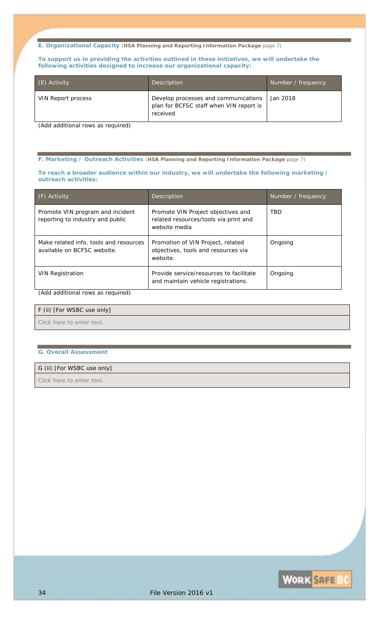**E. Organizational Capacity** (**HSA Planning and Reporting Information Package** page 7)

**To support us in providing the activities outlined in these initiatives, we will undertake the following activities designed to increase our organizational capacity:** 

| (E) Activity'             | <b>Description</b>                                                                          | Number / frequency |
|---------------------------|---------------------------------------------------------------------------------------------|--------------------|
| <b>VIN Report process</b> | Develop processes and communications<br>plan for BCFSC staff when VIN report is<br>received | <i>Jan 2018</i>    |

*(Add additional rows as required)* 

**F. Marketing / Outreach Activities** (**HSA Planning and Reporting Information Package** page 7)

#### **To reach a broader audience within our industry, we will undertake the following marketing / outreach activities:**

| (F) Activity                                                          | Description                                                                                  | Number / frequency |
|-----------------------------------------------------------------------|----------------------------------------------------------------------------------------------|--------------------|
| Promote VIN program and incident<br>reporting to industry and public  | Promote VIN Project objectives and<br>related resources/tools via print and<br>website media | TBD                |
| Make related info, tools and resources<br>available on BCFSC website. | Promotion of VIN Project, related<br>objectives, tools and resources via<br>website.         | Ongoing            |
| <b>VIN Registration</b>                                               | Provide service/resources to facilitate<br>and maintain vehicle registrations.               | Ongoing            |

# *(Add additional rows as required)*

### F (ii) [For WSBC use only]

*Click here to enter text.*

#### **G. Overall Assessment**

#### G (ii) [For WSBC use only]

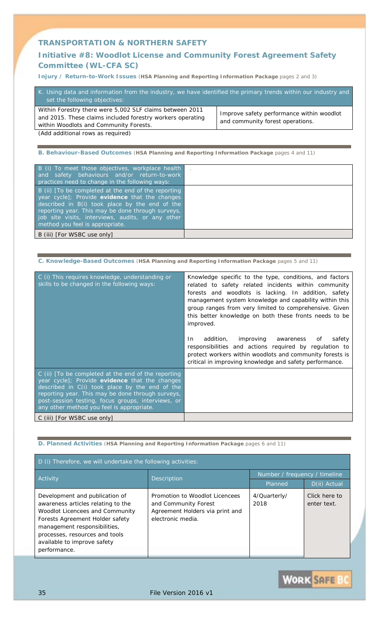# **Initiative #8:** *Woodlot License and Community Forest Agreement Safety Committee (WL-CFA SC)*

**Injury / Return-to-Work Issues** (**HSA Planning and Reporting Information Package** pages 2 and 3)

| K. Using data and information from the industry, we have identified the primary trends within our industry and<br>set the following objectives:                  |                                                                               |  |
|------------------------------------------------------------------------------------------------------------------------------------------------------------------|-------------------------------------------------------------------------------|--|
| Within Forestry there were 5,002 SLF claims between 2011<br>and 2015. These claims included forestry workers operating<br>within Woodlots and Community Forests. | Improve safety performance within woodlot<br>and community forest operations. |  |

*(Add additional rows as required)* 

**B. Behaviour-Based Outcomes** (**HSA Planning and Reporting Information Package** pages 4 and 11)

| B (i) To meet those objectives, workplace health<br>and safety behaviours and/or return-to-work<br>practices need to change in the following ways:                                                                                                                                                   |  |
|------------------------------------------------------------------------------------------------------------------------------------------------------------------------------------------------------------------------------------------------------------------------------------------------------|--|
| B (ii) [To be completed at the end of the reporting<br>year cycle]; Provide evidence that the changes<br>described in B(i) took place by the end of the<br>reporting year. This may be done through surveys,<br>job site visits, interviews, audits, or any other<br>method you feel is appropriate. |  |
| B (iii) [ <i>For WSBC use only</i> ]                                                                                                                                                                                                                                                                 |  |

#### **C. Knowledge-Based Outcomes** (**HSA Planning and Reporting Information Package** pages 5 and 11)

| C (i) This requires knowledge, understanding or<br>skills to be changed in the following ways:                                                                                                                                                                                                                  | Knowledge specific to the type, conditions, and factors<br>related to safety related incidents within community<br>forests and woodlots is lacking. In addition, safety<br>management system knowledge and capability within this<br>group ranges from very limited to comprehensive. Given<br>this better knowledge on both these fronts needs to be<br><i>improved.</i><br>addition, improving awareness<br>In<br>safety<br>Οf<br>responsibilities and actions required by regulation to<br>protect workers within woodlots and community forests is<br>critical in improving knowledge and safety performance. |
|-----------------------------------------------------------------------------------------------------------------------------------------------------------------------------------------------------------------------------------------------------------------------------------------------------------------|-------------------------------------------------------------------------------------------------------------------------------------------------------------------------------------------------------------------------------------------------------------------------------------------------------------------------------------------------------------------------------------------------------------------------------------------------------------------------------------------------------------------------------------------------------------------------------------------------------------------|
| C (ii) [To be completed at the end of the reporting<br>year cycle]; Provide evidence that the changes<br>described in C(i) took place by the end of the<br>reporting year. This may be done through surveys,<br>post-session testing, focus groups, interviews, or<br>any other method you feel is appropriate. |                                                                                                                                                                                                                                                                                                                                                                                                                                                                                                                                                                                                                   |
| C (iii) [For WSBC use only]                                                                                                                                                                                                                                                                                     |                                                                                                                                                                                                                                                                                                                                                                                                                                                                                                                                                                                                                   |

### **D. Planned Activities** (**HSA Planning and Reporting Information Package** pages 6 and 11)

| D (i) Therefore, we will undertake the following activities:                                                                                                                                                                                                              |                                                                                                                |                               |                              |
|---------------------------------------------------------------------------------------------------------------------------------------------------------------------------------------------------------------------------------------------------------------------------|----------------------------------------------------------------------------------------------------------------|-------------------------------|------------------------------|
| Activity                                                                                                                                                                                                                                                                  | <b>Description</b>                                                                                             | Number / frequency / timeline |                              |
|                                                                                                                                                                                                                                                                           |                                                                                                                | Planned                       | D(ii) Actual                 |
| Development and publication of<br>awareness articles relating to the<br><b>Woodlot Licencees and Community</b><br><b>Forests Agreement Holder safety</b><br>management responsibilities,<br>processes, resources and tools<br>available to improve safety<br>performance. | Promotion to Woodlot Licencees<br>and Community Forest<br>Agreement Holders via print and<br>electronic media. | 4/Quarterly/<br>2018          | Click here to<br>enter text. |

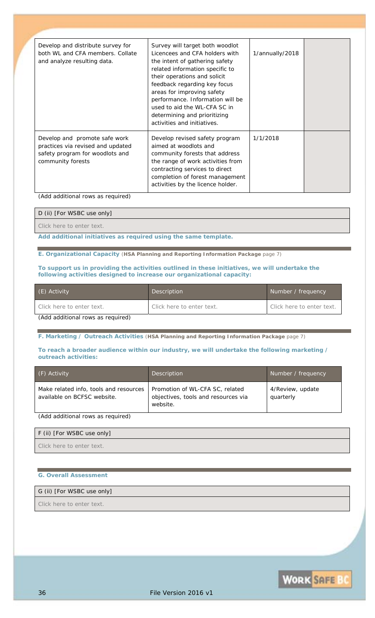| Develop and distribute survey for<br>both WL and CFA members. Collate<br>and analyze resulting data.                       | Survey will target both woodlot<br>Licencees and CFA holders with<br>the intent of gathering safety<br>related information specific to<br>their operations and solicit<br>feedback regarding key focus<br>areas for improving safety<br>performance. Information will be<br>used to aid the WL-CFA SC in<br>determining and prioritizing<br>activities and initiatives. | 1/annually/2018 |  |
|----------------------------------------------------------------------------------------------------------------------------|-------------------------------------------------------------------------------------------------------------------------------------------------------------------------------------------------------------------------------------------------------------------------------------------------------------------------------------------------------------------------|-----------------|--|
| Develop and promote safe work<br>practices via revised and updated<br>safety program for woodlots and<br>community forests | Develop revised safety program<br>aimed at woodlots and<br>community forests that address<br>the range of work activities from<br>contracting services to direct<br>completion of forest management<br>activities by the licence holder.                                                                                                                                | 1/1/2018        |  |

*(Add additional rows as required)* 

### D (ii) [For WSBC use only]

*Click here to enter text.*

*Add additional initiatives as required using the same template.* 

**E. Organizational Capacity** (**HSA Planning and Reporting Information Package** page 7)

#### **To support us in providing the activities outlined in these initiatives, we will undertake the following activities designed to increase our organizational capacity:**

| (E) Activity                         | Description               | Number / frequency        |
|--------------------------------------|---------------------------|---------------------------|
| Click here to enter text.            | Click here to enter text. | Click here to enter text. |
| $(1$ dd additional rows as required) |                           |                           |

*(Add additional rows as required)* 

**F. Marketing / Outreach Activities** (**HSA Planning and Reporting Information Package** page 7)

#### **To reach a broader audience within our industry, we will undertake the following marketing / outreach activities:**

| (F) Activity                                                          | <b>Description</b>                                                                 | Number / frequency            |
|-----------------------------------------------------------------------|------------------------------------------------------------------------------------|-------------------------------|
| Make related info, tools and resources<br>available on BCFSC website. | Promotion of WL-CFA SC, related<br>objectives, tools and resources via<br>website. | 4/Review, update<br>quarterly |
| (Add additional rows as required)                                     |                                                                                    |                               |

| F (ii) [For WSBC use only] |  |
|----------------------------|--|
| Click here to enter text.  |  |

### **G. Overall Assessment**

### G (ii) [For WSBC use only]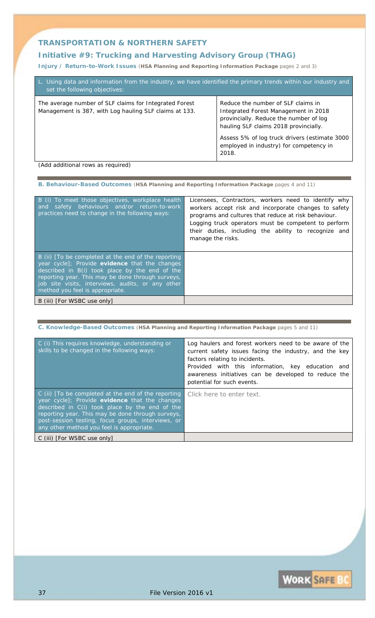# **Initiative #9:** *Trucking and Harvesting Advisory Group (THAG)*

**Injury / Return-to-Work Issues** (**HSA Planning and Reporting Information Package** pages 2 and 3)

| L. Using data and information from the industry, we have identified the primary trends within our industry and<br>set the following objectives: |                                                                                                                                                               |  |
|-------------------------------------------------------------------------------------------------------------------------------------------------|---------------------------------------------------------------------------------------------------------------------------------------------------------------|--|
| The average number of SLF claims for Integrated Forest<br>Management is 387, with Log hauling SLF claims at 133.                                | Reduce the number of SLF claims in<br>Integrated Forest Management in 2018<br>provincially. Reduce the number of log<br>hauling SLF claims 2018 provincially. |  |
|                                                                                                                                                 | Assess 5% of log truck drivers (estimate 3000<br>employed in industry) for competency in<br>2018.                                                             |  |
| (Add additional route as required)                                                                                                              |                                                                                                                                                               |  |

*(Add additional rows as required)* 

**B. Behaviour-Based Outcomes** (**HSA Planning and Reporting Information Package** pages 4 and 11)

| B (i) To meet those objectives, workplace health<br>and safety behaviours and/or return-to-work<br>practices need to change in the following ways:                                                                                                                                                   | Licensees, Contractors, workers need to identify why<br>workers accept risk and incorporate changes to safety<br>programs and cultures that reduce at risk behaviour.<br>Logging truck operators must be competent to perform<br>their duties, including the ability to recognize and<br>manage the risks. |
|------------------------------------------------------------------------------------------------------------------------------------------------------------------------------------------------------------------------------------------------------------------------------------------------------|------------------------------------------------------------------------------------------------------------------------------------------------------------------------------------------------------------------------------------------------------------------------------------------------------------|
| B (ii) [To be completed at the end of the reporting<br>year cycle]; Provide evidence that the changes<br>described in B(i) took place by the end of the<br>reporting year. This may be done through surveys,<br>job site visits, interviews, audits, or any other<br>method you feel is appropriate. |                                                                                                                                                                                                                                                                                                            |
| B (iii) [ <i>For WSBC use only</i> ]                                                                                                                                                                                                                                                                 |                                                                                                                                                                                                                                                                                                            |

**C. Knowledge-Based Outcomes** (**HSA Planning and Reporting Information Package** pages 5 and 11)

| C (i) This requires knowledge, understanding or<br>skills to be changed in the following ways:                                                                                                                                                                                                                  | Log haulers and forest workers need to be aware of the<br>current safety issues facing the industry, and the key<br>factors relating to incidents.<br>Provided with this information, key education and<br>awareness initiatives can be developed to reduce the<br>potential for such events. |
|-----------------------------------------------------------------------------------------------------------------------------------------------------------------------------------------------------------------------------------------------------------------------------------------------------------------|-----------------------------------------------------------------------------------------------------------------------------------------------------------------------------------------------------------------------------------------------------------------------------------------------|
| C (ii) [To be completed at the end of the reporting<br>year cycle]; Provide evidence that the changes<br>described in C(i) took place by the end of the<br>reporting year. This may be done through surveys,<br>post-session testing, focus groups, interviews, or<br>any other method you feel is appropriate. | Click here to enter text.                                                                                                                                                                                                                                                                     |
| C (iii) [ <i>For WSBC use only</i> ]                                                                                                                                                                                                                                                                            |                                                                                                                                                                                                                                                                                               |

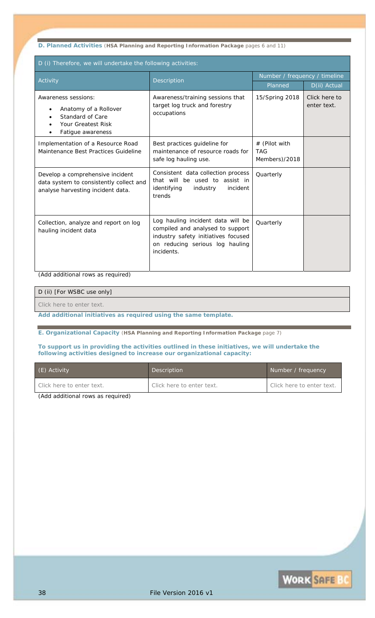**D. Planned Activities** (**HSA Planning and Reporting Information Package** pages 6 and 11)

| D (i) Therefore, we will undertake the following activities:                                                     |                                                                                                                                                               |                                              |                              |  |  |
|------------------------------------------------------------------------------------------------------------------|---------------------------------------------------------------------------------------------------------------------------------------------------------------|----------------------------------------------|------------------------------|--|--|
| Activity                                                                                                         | <b>Description</b>                                                                                                                                            | Number / frequency / timeline                |                              |  |  |
|                                                                                                                  |                                                                                                                                                               | Planned                                      | D(ii) Actual                 |  |  |
| Awareness sessions:<br>Anatomy of a Rollover<br>Standard of Care<br>Your Greatest Risk<br>Fatigue awareness      | Awareness/training sessions that<br>target log truck and forestry<br>occupations                                                                              | 15/Spring 2018                               | Click here to<br>enter text. |  |  |
| Implementation of a Resource Road<br>Maintenance Best Practices Guideline                                        | Best practices guideline for<br>maintenance of resource roads for<br>safe log hauling use.                                                                    | # (Pilot with<br><b>TAG</b><br>Members)/2018 |                              |  |  |
| Develop a comprehensive incident<br>data system to consistently collect and<br>analyse harvesting incident data. | Consistent data collection process<br>that will be used to assist in<br>identifying<br>industry<br>incident<br>trends                                         | Quarterly                                    |                              |  |  |
| Collection, analyze and report on log<br>hauling incident data                                                   | Log hauling incident data will be<br>compiled and analysed to support<br>industry safety initiatives focused<br>on reducing serious log hauling<br>incidents. | Quarterly                                    |                              |  |  |

*(Add additional rows as required)* 

#### D (ii) [For WSBC use only]

*Click here to enter text.*

*Add additional initiatives as required using the same template.* 

**E. Organizational Capacity** (**HSA Planning and Reporting Information Package** page 7)

### **To support us in providing the activities outlined in these initiatives, we will undertake the following activities designed to increase our organizational capacity:**

| (E) Activity              | Description               | Number / frequency        |
|---------------------------|---------------------------|---------------------------|
| Click here to enter text. | Click here to enter text. | Click here to enter text. |

*(Add additional rows as required)*